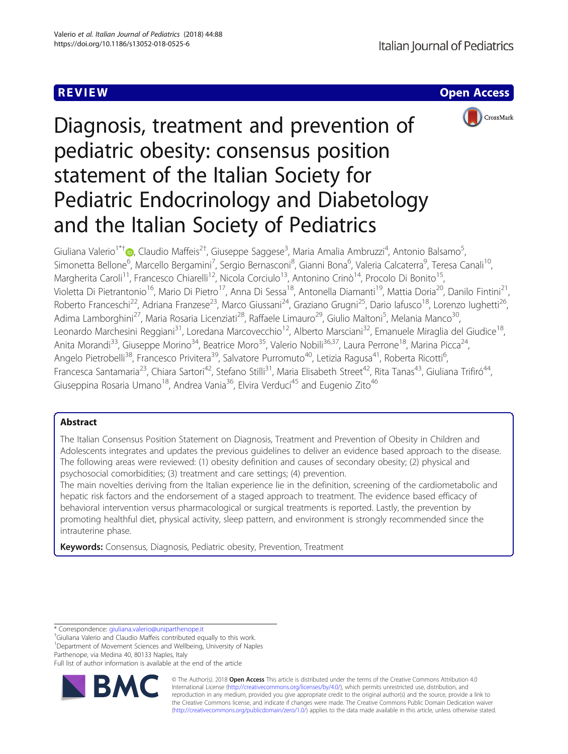REVIEW AND REVIEW IN THE SERVICE OF THE SERVICE OF THE SERVICE OF THE SERVICE OF THE SERVICE OF THE SERVICE OF



# Diagnosis, treatment and prevention of pediatric obesity: consensus position statement of the Italian Society for Pediatric Endocrinology and Diabetology and the Italian Society of Pediatrics

Giuliana Valerio<sup>1\*†</sup>®, Claudio Maffeis<sup>2†</sup>, Giuseppe Saggese<sup>3</sup>, Maria Amalia Ambruzzi<sup>4</sup>, Antonio Balsamo<sup>5</sup> , Simonetta Bellone<sup>6</sup>, Marcello Bergamini<sup>7</sup>, Sergio Bernasconi<sup>8</sup>, Gianni Bona<sup>6</sup>, Valeria Calcaterra<sup>9</sup>, Teresa Canali<sup>10</sup>, Margherita Caroli<sup>11</sup>, Francesco Chiarelli<sup>12</sup>, Nicola Corciulo<sup>13</sup>, Antonino Crinò<sup>14</sup>, Procolo Di Bonito<sup>15</sup>, Violetta Di Pietrantonio<sup>16</sup>, Mario Di Pietro<sup>17</sup>, Anna Di Sessa<sup>18</sup>, Antonella Diamanti<sup>19</sup>, Mattia Doria<sup>20</sup>, Danilo Fintini<sup>21</sup>, Roberto Franceschi<sup>22</sup>, Adriana Franzese<sup>23</sup>, Marco Giussani<sup>24</sup>, Graziano Grugni<sup>25</sup>, Dario Iafusco<sup>18</sup>, Lorenzo Iughetti<sup>26</sup>, Adima Lamborghini<sup>27</sup>, Maria Rosaria Licenziati<sup>28</sup>, Raffaele Limauro<sup>29</sup>, Giulio Maltoni<sup>5</sup>, Melania Manco<sup>30</sup>, Leonardo Marchesini Reggiani<sup>31</sup>, Loredana Marcovecchio<sup>12</sup>, Alberto Marsciani<sup>32</sup>, Emanuele Miraglia del Giudice<sup>18</sup>, Anita Morandi<sup>33</sup>, Giuseppe Morino<sup>34</sup>, Beatrice Moro<sup>35</sup>, Valerio Nobili<sup>36,37</sup>, Laura Perrone<sup>18</sup>, Marina Picca<sup>24</sup>, Angelo Pietrobelli<sup>38</sup>, Francesco Privitera<sup>39</sup>, Salvatore Purromuto<sup>40</sup>, Letizia Ragusa<sup>41</sup>, Roberta Ricotti<sup>6</sup>, , Francesca Santamaria<sup>23</sup>, Chiara Sartori<sup>42</sup>, Stefano Stilli<sup>31</sup>, Maria Elisabeth Street<sup>42</sup>, Rita Tanas<sup>43</sup>, Giuliana Trifiró<sup>44</sup>, Giuseppina Rosaria Umano<sup>18</sup>, Andrea Vania<sup>36</sup>, Elvira Verduci<sup>45</sup> and Eugenio Zito<sup>46</sup>

# Abstract

The Italian Consensus Position Statement on Diagnosis, Treatment and Prevention of Obesity in Children and Adolescents integrates and updates the previous guidelines to deliver an evidence based approach to the disease. The following areas were reviewed: (1) obesity definition and causes of secondary obesity; (2) physical and psychosocial comorbidities; (3) treatment and care settings; (4) prevention.

The main novelties deriving from the Italian experience lie in the definition, screening of the cardiometabolic and hepatic risk factors and the endorsement of a staged approach to treatment. The evidence based efficacy of behavioral intervention versus pharmacological or surgical treatments is reported. Lastly, the prevention by promoting healthful diet, physical activity, sleep pattern, and environment is strongly recommended since the intrauterine phase.

Keywords: Consensus, Diagnosis, Pediatric obesity, Prevention, Treatment

\* Correspondence: [giuliana.valerio@uniparthenope.it](mailto:giuliana.valerio@uniparthenope.it) †

<sup>+</sup>Giuliana Valerio and Claudio Maffeis contributed equally to this work.

<sup>1</sup>Department of Movement Sciences and Wellbeing, University of Naples Parthenope, via Medina 40, 80133 Naples, Italy

Full list of author information is available at the end of the article



© The Author(s). 2018 Open Access This article is distributed under the terms of the Creative Commons Attribution 4.0 International License [\(http://creativecommons.org/licenses/by/4.0/](http://creativecommons.org/licenses/by/4.0/)), which permits unrestricted use, distribution, and reproduction in any medium, provided you give appropriate credit to the original author(s) and the source, provide a link to the Creative Commons license, and indicate if changes were made. The Creative Commons Public Domain Dedication waiver [\(http://creativecommons.org/publicdomain/zero/1.0/](http://creativecommons.org/publicdomain/zero/1.0/)) applies to the data made available in this article, unless otherwise stated.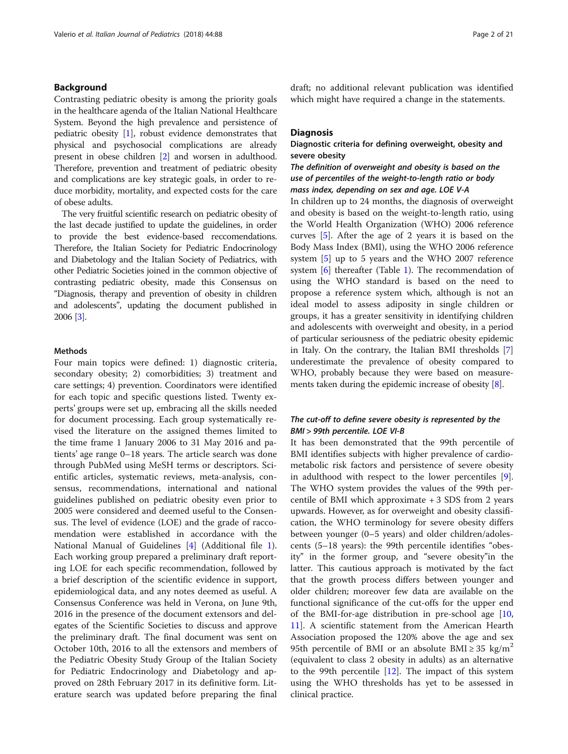# Background

Contrasting pediatric obesity is among the priority goals in the healthcare agenda of the Italian National Healthcare System. Beyond the high prevalence and persistence of pediatric obesity [\[1\]](#page-14-0), robust evidence demonstrates that physical and psychosocial complications are already present in obese children [\[2](#page-14-0)] and worsen in adulthood. Therefore, prevention and treatment of pediatric obesity and complications are key strategic goals, in order to reduce morbidity, mortality, and expected costs for the care of obese adults.

The very fruitful scientific research on pediatric obesity of the last decade justified to update the guidelines, in order to provide the best evidence-based reccomendations. Therefore, the Italian Society for Pediatric Endocrinology and Diabetology and the Italian Society of Pediatrics, with other Pediatric Societies joined in the common objective of contrasting pediatric obesity, made this Consensus on "Diagnosis, therapy and prevention of obesity in children and adolescents", updating the document published in 2006 [\[3\]](#page-14-0).

#### Methods

Four main topics were defined: 1) diagnostic criteria, secondary obesity; 2) comorbidities; 3) treatment and care settings; 4) prevention. Coordinators were identified for each topic and specific questions listed. Twenty experts' groups were set up, embracing all the skills needed for document processing. Each group systematically revised the literature on the assigned themes limited to the time frame 1 January 2006 to 31 May 2016 and patients' age range 0–18 years. The article search was done through PubMed using MeSH terms or descriptors. Scientific articles, systematic reviews, meta-analysis, consensus, recommendations, international and national guidelines published on pediatric obesity even prior to 2005 were considered and deemed useful to the Consensus. The level of evidence (LOE) and the grade of raccomendation were established in accordance with the National Manual of Guidelines [\[4](#page-14-0)] (Additional file [1](#page-13-0)). Each working group prepared a preliminary draft reporting LOE for each specific recommendation, followed by a brief description of the scientific evidence in support, epidemiological data, and any notes deemed as useful. A Consensus Conference was held in Verona, on June 9th, 2016 in the presence of the document extensors and delegates of the Scientific Societies to discuss and approve the preliminary draft. The final document was sent on October 10th, 2016 to all the extensors and members of the Pediatric Obesity Study Group of the Italian Society for Pediatric Endocrinology and Diabetology and approved on 28th February 2017 in its definitive form. Literature search was updated before preparing the final

draft; no additional relevant publication was identified which might have required a change in the statements.

#### **Diagnosis**

# Diagnostic criteria for defining overweight, obesity and severe obesity

# The definition of overweight and obesity is based on the use of percentiles of the weight-to-length ratio or body mass index, depending on sex and age. LOE V-A

In children up to 24 months, the diagnosis of overweight and obesity is based on the weight-to-length ratio, using the World Health Organization (WHO) 2006 reference curves [[5\]](#page-14-0). After the age of 2 years it is based on the Body Mass Index (BMI), using the WHO 2006 reference system [[5\]](#page-14-0) up to 5 years and the WHO 2007 reference system [\[6](#page-14-0)] thereafter (Table [1](#page-2-0)). The recommendation of using the WHO standard is based on the need to propose a reference system which, although is not an ideal model to assess adiposity in single children or groups, it has a greater sensitivity in identifying children and adolescents with overweight and obesity, in a period of particular seriousness of the pediatric obesity epidemic in Italy. On the contrary, the Italian BMI thresholds [[7](#page-14-0)] underestimate the prevalence of obesity compared to WHO, probably because they were based on measure-ments taken during the epidemic increase of obesity [[8\]](#page-14-0).

# The cut-off to define severe obesity is represented by the BMI > 99th percentile. LOE VI-B

It has been demonstrated that the 99th percentile of BMI identifies subjects with higher prevalence of cardiometabolic risk factors and persistence of severe obesity in adulthood with respect to the lower percentiles [\[9](#page-14-0)]. The WHO system provides the values of the 99th percentile of BMI which approximate + 3 SDS from 2 years upwards. However, as for overweight and obesity classification, the WHO terminology for severe obesity differs between younger (0–5 years) and older children/adolescents (5–18 years): the 99th percentile identifies "obesity" in the former group, and "severe obesity"in the latter. This cautious approach is motivated by the fact that the growth process differs between younger and older children; moreover few data are available on the functional significance of the cut-offs for the upper end of the BMI-for-age distribution in pre-school age [[10](#page-14-0), [11\]](#page-14-0). A scientific statement from the American Hearth Association proposed the 120% above the age and sex 95th percentile of BMI or an absolute BMI  $\geq$  35 kg/m<sup>2</sup> (equivalent to class 2 obesity in adults) as an alternative to the 99th percentile [[12\]](#page-14-0). The impact of this system using the WHO thresholds has yet to be assessed in clinical practice.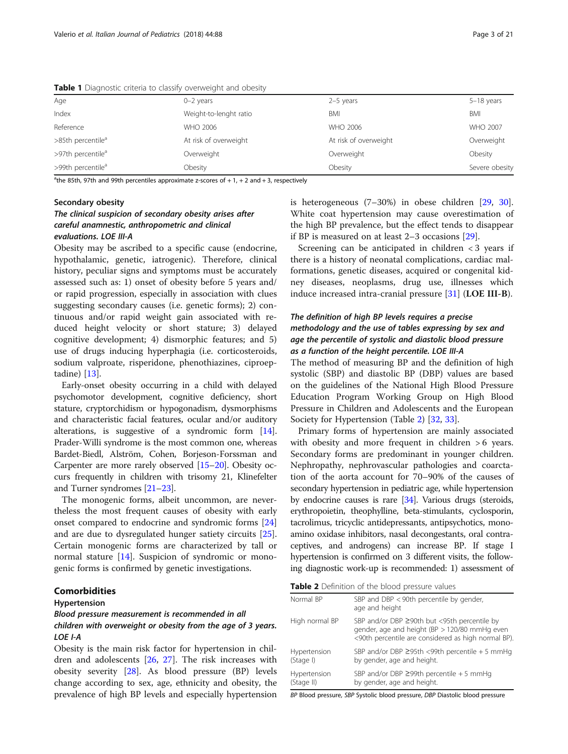| Age                           | $0 - 2$ years          | $2-5$ years           | 5-18 years     |
|-------------------------------|------------------------|-----------------------|----------------|
| Index                         | Weight-to-lenght ratio | BMI                   | BMI            |
| Reference                     | WHO 2006               | WHO 2006              | WHO 2007       |
| >85th percentile <sup>a</sup> | At risk of overweight  | At risk of overweight | Overweight     |
| >97th percentile <sup>a</sup> | Overweight             | Overweight            | Obesity        |
| >99th percentile <sup>a</sup> | Obesity                | Obesity               | Severe obesity |

<span id="page-2-0"></span>Table 1 Diagnostic criteria to classify overweight and obesity

<sup>a</sup>the 85th, 97th and 99th percentiles approximate z-scores of + 1, + 2 and + 3, respectively

#### Secondary obesity

# The clinical suspicion of secondary obesity arises after careful anamnestic, anthropometric and clinical evaluations. LOE III-A

Obesity may be ascribed to a specific cause (endocrine, hypothalamic, genetic, iatrogenic). Therefore, clinical history, peculiar signs and symptoms must be accurately assessed such as: 1) onset of obesity before 5 years and/ or rapid progression, especially in association with clues suggesting secondary causes (i.e. genetic forms); 2) continuous and/or rapid weight gain associated with reduced height velocity or short stature; 3) delayed cognitive development; 4) dismorphic features; and 5) use of drugs inducing hyperphagia (i.e. corticosteroids, sodium valproate, risperidone, phenothiazines, ciproeptadine) [\[13\]](#page-14-0).

Early-onset obesity occurring in a child with delayed psychomotor development, cognitive deficiency, short stature, cryptorchidism or hypogonadism, dysmorphisms and characteristic facial features, ocular and/or auditory alterations, is suggestive of a syndromic form [[14](#page-14-0)]. Prader-Willi syndrome is the most common one, whereas Bardet-Biedl, Alström, Cohen, Borjeson-Forssman and Carpenter are more rarely observed [[15](#page-14-0)–[20\]](#page-14-0). Obesity occurs frequently in children with trisomy 21, Klinefelter and Turner syndromes [\[21](#page-14-0)–[23](#page-14-0)].

The monogenic forms, albeit uncommon, are nevertheless the most frequent causes of obesity with early onset compared to endocrine and syndromic forms [[24](#page-14-0)] and are due to dysregulated hunger satiety circuits [\[25](#page-14-0)]. Certain monogenic forms are characterized by tall or normal stature [\[14](#page-14-0)]. Suspicion of syndromic or monogenic forms is confirmed by genetic investigations.

# Comorbidities

#### Hypertension

# Blood pressure measurement is recommended in all children with overweight or obesity from the age of 3 years. LOE I-A

Obesity is the main risk factor for hypertension in children and adolescents [\[26](#page-14-0), [27\]](#page-14-0). The risk increases with obesity severity [\[28\]](#page-14-0). As blood pressure (BP) levels change according to sex, age, ethnicity and obesity, the prevalence of high BP levels and especially hypertension is heterogeneous (7–30%) in obese children [[29,](#page-14-0) [30](#page-14-0)]. White coat hypertension may cause overestimation of the high BP prevalence, but the effect tends to disappear if BP is measured on at least 2–3 occasions [\[29](#page-14-0)].

Screening can be anticipated in children < 3 years if there is a history of neonatal complications, cardiac malformations, genetic diseases, acquired or congenital kidney diseases, neoplasms, drug use, illnesses which induce increased intra-cranial pressure [[31\]](#page-14-0) (LOE III-B).

# The definition of high BP levels requires a precise methodology and the use of tables expressing by sex and age the percentile of systolic and diastolic blood pressure as a function of the height percentile. LOE III-A

The method of measuring BP and the definition of high systolic (SBP) and diastolic BP (DBP) values are based on the guidelines of the National High Blood Pressure Education Program Working Group on High Blood Pressure in Children and Adolescents and the European Society for Hypertension (Table 2) [[32,](#page-14-0) [33\]](#page-14-0).

Primary forms of hypertension are mainly associated with obesity and more frequent in children  $> 6$  years. Secondary forms are predominant in younger children. Nephropathy, nephrovascular pathologies and coarctation of the aorta account for 70–90% of the causes of secondary hypertension in pediatric age, while hypertension by endocrine causes is rare [\[34\]](#page-14-0). Various drugs (steroids, erythropoietin, theophylline, beta-stimulants, cyclosporin, tacrolimus, tricyclic antidepressants, antipsychotics, monoamino oxidase inhibitors, nasal decongestants, oral contraceptives, and androgens) can increase BP. If stage I hypertension is confirmed on 3 different visits, the following diagnostic work-up is recommended: 1) assessment of

Table 2 Definition of the blood pressure values

| Normal BP                  | SBP and DBP < 90th percentile by gender,<br>age and height                                                                                           |  |  |
|----------------------------|------------------------------------------------------------------------------------------------------------------------------------------------------|--|--|
| High normal BP             | SBP and/or DBP ≥90th but <95th percentile by<br>gender, age and height (BP > 120/80 mmHg even<br><90th percentile are considered as high normal BP). |  |  |
| Hypertension<br>(Stage I)  | SBP and/or DBP $\geq$ 95th <99th percentile +5 mmHg<br>by gender, age and height.                                                                    |  |  |
| Hypertension<br>(Stage II) | SBP and/or DBP $\geq$ 99th percentile + 5 mmHg<br>by gender, age and height.                                                                         |  |  |

BP Blood pressure, SBP Systolic blood pressure, DBP Diastolic blood pressure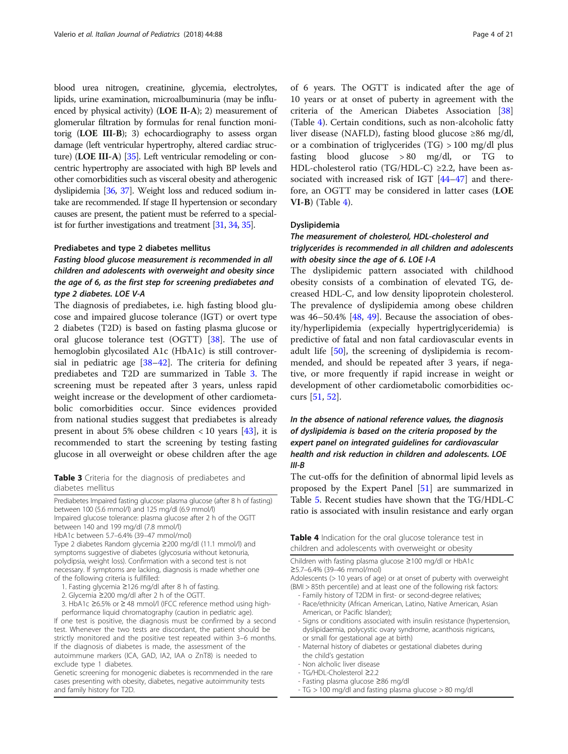blood urea nitrogen, creatinine, glycemia, electrolytes, lipids, urine examination, microalbuminuria (may be influenced by physical activity) (LOE II-A); 2) measurement of glomerular filtration by formulas for renal function monitorig (LOE III-B); 3) echocardiography to assess organ damage (left ventricular hypertrophy, altered cardiac structure) (LOE III-A) [\[35\]](#page-14-0). Left ventricular remodeling or concentric hypertrophy are associated with high BP levels and other comorbidities such as visceral obesity and atherogenic dyslipidemia [\[36,](#page-14-0) [37\]](#page-14-0). Weight loss and reduced sodium intake are recommended. If stage II hypertension or secondary causes are present, the patient must be referred to a specialist for further investigations and treatment [\[31](#page-14-0), [34](#page-14-0), [35\]](#page-14-0).

#### Prediabetes and type 2 diabetes mellitus

# Fasting blood glucose measurement is recommended in all children and adolescents with overweight and obesity since the age of 6, as the first step for screening prediabetes and type 2 diabetes. LOE V-A

The diagnosis of prediabetes, i.e. high fasting blood glucose and impaired glucose tolerance (IGT) or overt type 2 diabetes (T2D) is based on fasting plasma glucose or oral glucose tolerance test (OGTT) [[38\]](#page-15-0). The use of hemoglobin glycosilated A1c (HbA1c) is still controversial in pediatric age [[38](#page-15-0)–[42\]](#page-15-0). The criteria for defining prediabetes and T2D are summarized in Table 3. The screening must be repeated after 3 years, unless rapid weight increase or the development of other cardiometabolic comorbidities occur. Since evidences provided from national studies suggest that prediabetes is already present in about 5% obese children  $<$  10 years [\[43\]](#page-15-0), it is recommended to start the screening by testing fasting glucose in all overweight or obese children after the age

Table 3 Criteria for the diagnosis of prediabetes and diabetes mellitus

Prediabetes Impaired fasting glucose: plasma glucose (after 8 h of fasting) between 100 (5.6 mmol/l) and 125 mg/dl (6.9 mmol/l) Impaired glucose tolerance: plasma glucose after 2 h of the OGTT

between 140 and 199 mg/dl (7.8 mmol/l) HbA1c between 5.7–6.4% (39–47 mmol/mol)

Type 2 diabetes Random glycemia ≥200 mg/dl (11.1 mmol/l) and

symptoms suggestive of diabetes (glycosuria without ketonuria, polydipsia, weight loss). Confirmation with a second test is not necessary. If symptoms are lacking, diagnosis is made whether one of the following criteria is fullfilled:

1. Fasting glycemia ≥126 mg/dl after 8 h of fasting.

2. Glycemia ≥200 mg/dl after 2 h of the OGTT.

3. HbA1c ≥6.5% or ≥ 48 mmol/l (IFCC reference method using high-

performance liquid chromatography (caution in pediatric age). If one test is positive, the diagnosis must be confirmed by a second test. Whenever the two tests are discordant, the patient should be strictly monitored and the positive test repeated within 3–6 months. If the diagnosis of diabetes is made, the assessment of the autoimmune markers (ICA, GAD, IA2, IAA o ZnT8) is needed to exclude type 1 diabetes.

Genetic screening for monogenic diabetes is recommended in the rare cases presenting with obesity, diabetes, negative autoimmunity tests and family history for T2D.

of 6 years. The OGTT is indicated after the age of 10 years or at onset of puberty in agreement with the criteria of the American Diabetes Association [[38](#page-15-0)] (Table 4). Certain conditions, such as non-alcoholic fatty liver disease (NAFLD), fasting blood glucose ≥86 mg/dl, or a combination of triglycerides (TG) > 100 mg/dl plus fasting blood glucose > 80 mg/dl, or TG to HDL-cholesterol ratio (TG/HDL-C)  $\geq$ 2.2, have been associated with increased risk of IGT [[44](#page-15-0)–[47\]](#page-15-0) and therefore, an OGTT may be considered in latter cases (LOE  $VI-B$ ) (Table 4).

#### Dyslipidemia

# The measurement of cholesterol, HDL-cholesterol and triglycerides is recommended in all children and adolescents with obesity since the age of 6. LOE I-A

The dyslipidemic pattern associated with childhood obesity consists of a combination of elevated TG, decreased HDL-C, and low density lipoprotein cholesterol. The prevalence of dyslipidemia among obese children was 46–50.4% [[48](#page-15-0), [49](#page-15-0)]. Because the association of obesity/hyperlipidemia (expecially hypertriglyceridemia) is predictive of fatal and non fatal cardiovascular events in adult life [[50\]](#page-15-0), the screening of dyslipidemia is recommended, and should be repeated after 3 years, if negative, or more frequently if rapid increase in weight or development of other cardiometabolic comorbidities occurs [\[51,](#page-15-0) [52\]](#page-15-0).

# In the absence of national reference values, the diagnosis of dyslipidemia is based on the criteria proposed by the expert panel on integrated guidelines for cardiovascular health and risk reduction in children and adolescents. LOE III-B

The cut-offs for the definition of abnormal lipid levels as proposed by the Expert Panel [[51\]](#page-15-0) are summarized in Table [5](#page-4-0). Recent studies have shown that the TG/HDL-C ratio is associated with insulin resistance and early organ

Table 4 Indication for the oral glucose tolerance test in children and adolescents with overweight or obesity

Children with fasting plasma glucose ≥100 mg/dl or HbA1c ≥5.7–6.4% (39–46 mmol/mol) Adolescents (> 10 years of age) or at onset of puberty with overweight

(BMI > 85th percentile) and at least one of the following risk factors:

- Family history of T2DM in first- or second-degree relatives; - Race/ethnicity (African American, Latino, Native American, Asian American, or Pacific Islander);
- Signs or conditions associated with insulin resistance (hypertension, dyslipidaemia, polycystic ovary syndrome, acanthosis nigricans, or small for gestational age at birth)
- Maternal history of diabetes or gestational diabetes during the child's gestation
- Non alcholic liver disease
- TG/HDL-Cholesterol ≥2.2
- Fasting plasma glucose ≥86 mg/dl
- TG > 100 mg/dl and fasting plasma glucose > 80 mg/dl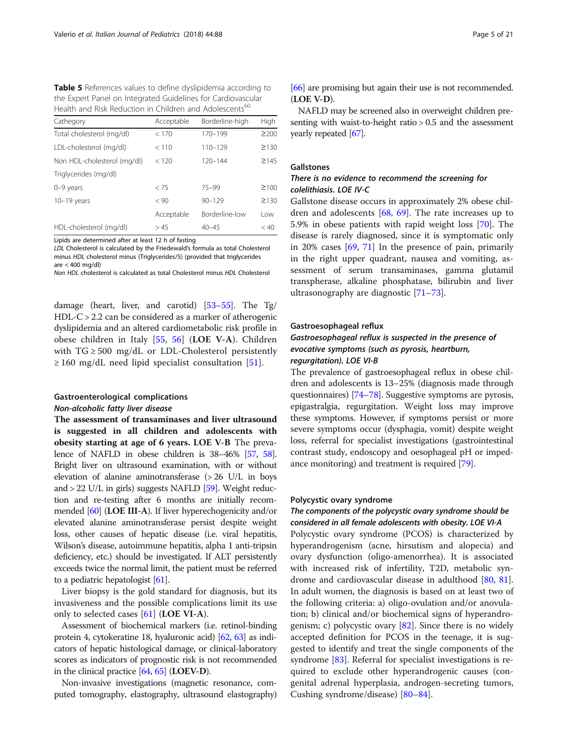<span id="page-4-0"></span>

| Table 5 References values to define dyslipidemia according to       |
|---------------------------------------------------------------------|
| the Expert Panel on Integrated Guidelines for Cardiovascular        |
| Health and Risk Reduction in Children and Adolescents <sup>60</sup> |

| Cathegory                   | Acceptable | Borderline-high | High       |
|-----------------------------|------------|-----------------|------------|
| Total cholesterol (mg/dl)   | < 170      | 170-199         | $\geq$ 200 |
| LDL-cholesterol (mg/dl)     | < 110      | $110 - 129$     | $\geq$ 130 |
| Non HDL-cholesterol (mg/dl) | < 120      | $120 - 144$     | ≥145       |
| Triglycerides (mg/dl)       |            |                 |            |
| $0 - 9$ years               | < 75       | 75-99           | $\geq 100$ |
| $10-19$ years               | < 90       | $90 - 129$      | $\geq$ 130 |
|                             | Acceptable | Borderline-low  | Low        |
| HDL-cholesterol (mg/dl)     | >45        | $40 - 45$       | < 40       |

Lipids are determined after at least 12 h of fasting

LDL Cholesterol is calculated by the Friedewald's formula as total Cholesterol minus HDL cholesterol minus (Triglycerides/5) (provided that triglycerides are < 400 mg/dl)

Non HDL cholesterol is calculated as total Cholesterol minus HDL Cholesterol

damage (heart, liver, and carotid) [[53](#page-15-0)–[55\]](#page-15-0). The Tg/ HDL-C > 2.2 can be considered as a marker of atherogenic dyslipidemia and an altered cardiometabolic risk profile in obese children in Italy [\[55](#page-15-0), [56](#page-15-0)] (LOE V-A). Children with  $TG \ge 500$  mg/dL or LDL-Cholesterol persistently  $\geq$  160 mg/dL need lipid specialist consultation [\[51](#page-15-0)].

# Gastroenterological complications Non-alcoholic fatty liver disease

The assessment of transaminases and liver ultrasound is suggested in all children and adolescents with obesity starting at age of 6 years. LOE V-B The prevalence of NAFLD in obese children is 38–46% [\[57,](#page-15-0) [58](#page-15-0)]. Bright liver on ultrasound examination, with or without elevation of alanine aminotransferase (> 26 U/L in boys and > 22 U/L in girls) suggests NAFLD [\[59](#page-15-0)]. Weight reduction and re-testing after 6 months are initially recommended [\[60\]](#page-15-0) (LOE III-A). If liver hyperechogenicity and/or elevated alanine aminotransferase persist despite weight loss, other causes of hepatic disease (i.e. viral hepatitis, Wilson's disease, autoimmune hepatitis, alpha 1 anti-tripsin deficiency, etc.) should be investigated. If ALT persistently exceeds twice the normal limit, the patient must be referred to a pediatric hepatologist [\[61\]](#page-15-0).

Liver biopsy is the gold standard for diagnosis, but its invasiveness and the possible complications limit its use only to selected cases  $[61]$  $[61]$  $[61]$  (LOE VI-A).

Assessment of biochemical markers (i.e. retinol-binding protein 4, cytokeratine 18, hyaluronic acid) [\[62,](#page-15-0) [63](#page-15-0)] as indicators of hepatic histological damage, or clinical-laboratory scores as indicators of prognostic risk is not recommended in the clinical practice [\[64,](#page-15-0) [65\]](#page-15-0) (LOEV-D).

Non-invasive investigations (magnetic resonance, computed tomography, elastography, ultrasound elastography) [[66](#page-15-0)] are promising but again their use is not recommended. (LOE V-D).

NAFLD may be screened also in overweight children presenting with waist-to-height ratio > 0.5 and the assessment yearly repeated [\[67](#page-15-0)].

#### Gallstones

#### There is no evidence to recommend the screening for colelithiasis. LOE IV-C

Gallstone disease occurs in approximately 2% obese children and adolescents [\[68](#page-15-0), [69\]](#page-15-0). The rate increases up to 5.9% in obese patients with rapid weight loss [\[70](#page-15-0)]. The disease is rarely diagnosed, since it is symptomatic only in 20% cases [[69,](#page-15-0) [71](#page-15-0)] In the presence of pain, primarily in the right upper quadrant, nausea and vomiting, assessment of serum transaminases, gamma glutamil transpherase, alkaline phosphatase, bilirubin and liver ultrasonography are diagnostic [[71](#page-15-0)–[73](#page-15-0)].

#### Gastroesophageal reflux

# Gastroesophageal reflux is suspected in the presence of evocative symptoms (such as pyrosis, heartburn, regurgitation). LOE VI-B

The prevalence of gastroesophageal reflux in obese children and adolescents is 13–25% (diagnosis made through questionnaires) [[74](#page-15-0)–[78\]](#page-15-0). Suggestive symptoms are pyrosis, epigastralgia, regurgitation. Weight loss may improve these symptoms. However, if symptoms persist or more severe symptoms occur (dysphagia, vomit) despite weight loss, referral for specialist investigations (gastrointestinal contrast study, endoscopy and oesophageal pH or impedance monitoring) and treatment is required [[79\]](#page-15-0).

#### Polycystic ovary syndrome

# The components of the polycystic ovary syndrome should be considered in all female adolescents with obesity. LOE VI-A

Polycystic ovary syndrome (PCOS) is characterized by hyperandrogenism (acne, hirsutism and alopecia) and ovary dysfunction (oligo-amenorrhea). It is associated with increased risk of infertility, T2D, metabolic syndrome and cardiovascular disease in adulthood [[80,](#page-15-0) [81](#page-15-0)]. In adult women, the diagnosis is based on at least two of the following criteria: a) oligo-ovulation and/or anovulation; b) clinical and/or biochemical signs of hyperandrogenism; c) polycystic ovary  $[82]$  $[82]$  $[82]$ . Since there is no widely accepted definition for PCOS in the teenage, it is suggested to identify and treat the single components of the syndrome [\[83\]](#page-15-0). Referral for specialist investigations is required to exclude other hyperandrogenic causes (congenital adrenal hyperplasia, androgen-secreting tumors, Cushing syndrome/disease) [\[80](#page-15-0)–[84\]](#page-15-0).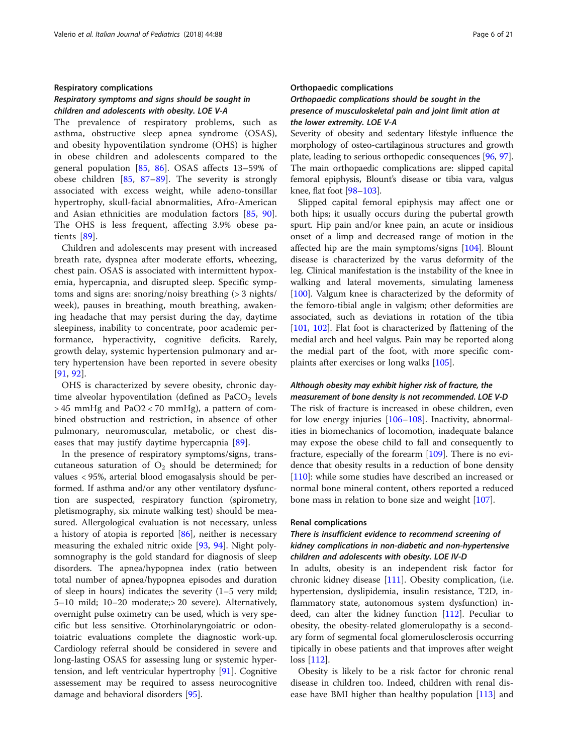#### Respiratory complications

#### Respiratory symptoms and signs should be sought in children and adolescents with obesity. LOE V-A

The prevalence of respiratory problems, such as asthma, obstructive sleep apnea syndrome (OSAS), and obesity hypoventilation syndrome (OHS) is higher in obese children and adolescents compared to the general population [[85](#page-15-0), [86](#page-15-0)]. OSAS affects 13–59% of obese children [\[85](#page-15-0), [87](#page-16-0)–[89](#page-16-0)]. The severity is strongly associated with excess weight, while adeno-tonsillar hypertrophy, skull-facial abnormalities, Afro-American and Asian ethnicities are modulation factors [\[85](#page-15-0), [90](#page-16-0)]. The OHS is less frequent, affecting 3.9% obese patients [[89](#page-16-0)].

Children and adolescents may present with increased breath rate, dyspnea after moderate efforts, wheezing, chest pain. OSAS is associated with intermittent hypoxemia, hypercapnia, and disrupted sleep. Specific symptoms and signs are: snoring/noisy breathing (> 3 nights/ week), pauses in breathing, mouth breathing, awakening headache that may persist during the day, daytime sleepiness, inability to concentrate, poor academic performance, hyperactivity, cognitive deficits. Rarely, growth delay, systemic hypertension pulmonary and artery hypertension have been reported in severe obesity [[91,](#page-16-0) [92](#page-16-0)].

OHS is characterized by severe obesity, chronic daytime alveolar hypoventilation (defined as  $PaCO<sub>2</sub>$  levels  $> 45$  mmHg and PaO2 < 70 mmHg), a pattern of combined obstruction and restriction, in absence of other pulmonary, neuromuscular, metabolic, or chest dis-eases that may justify daytime hypercapnia [[89\]](#page-16-0).

In the presence of respiratory symptoms/signs, transcutaneous saturation of  $O_2$  should be determined; for values < 95%, arterial blood emogasalysis should be performed. If asthma and/or any other ventilatory dysfunction are suspected, respiratory function (spirometry, pletismography, six minute walking test) should be measured. Allergological evaluation is not necessary, unless a history of atopia is reported [[86\]](#page-15-0), neither is necessary measuring the exhaled nitric oxide [\[93](#page-16-0), [94\]](#page-16-0). Night polysomnography is the gold standard for diagnosis of sleep disorders. The apnea/hypopnea index (ratio between total number of apnea/hypopnea episodes and duration of sleep in hours) indicates the severity (1–5 very mild; 5–10 mild; 10–20 moderate;> 20 severe). Alternatively, overnight pulse oximetry can be used, which is very specific but less sensitive. Otorhinolaryngoiatric or odontoiatric evaluations complete the diagnostic work-up. Cardiology referral should be considered in severe and long-lasting OSAS for assessing lung or systemic hypertension, and left ventricular hypertrophy [[91](#page-16-0)]. Cognitive assessement may be required to assess neurocognitive damage and behavioral disorders [\[95](#page-16-0)].

#### Orthopaedic complications

# Orthopaedic complications should be sought in the presence of musculoskeletal pain and joint limit ation at the lower extremity. LOE V-A

Severity of obesity and sedentary lifestyle influence the morphology of osteo-cartilaginous structures and growth plate, leading to serious orthopedic consequences [\[96,](#page-16-0) [97](#page-16-0)]. The main orthopaedic complications are: slipped capital femoral epiphysis, Blount's disease or tibia vara, valgus knee, flat foot [\[98](#page-16-0)–[103](#page-16-0)].

Slipped capital femoral epiphysis may affect one or both hips; it usually occurs during the pubertal growth spurt. Hip pain and/or knee pain, an acute or insidious onset of a limp and decreased range of motion in the affected hip are the main symptoms/signs [\[104](#page-16-0)]. Blount disease is characterized by the varus deformity of the leg. Clinical manifestation is the instability of the knee in walking and lateral movements, simulating lameness [[100\]](#page-16-0). Valgum knee is characterized by the deformity of the femoro-tibial angle in valgism; other deformities are associated, such as deviations in rotation of the tibia [[101,](#page-16-0) [102](#page-16-0)]. Flat foot is characterized by flattening of the medial arch and heel valgus. Pain may be reported along the medial part of the foot, with more specific complaints after exercises or long walks [[105](#page-16-0)].

#### Although obesity may exhibit higher risk of fracture, the measurement of bone density is not recommended. LOE V-D

The risk of fracture is increased in obese children, even for low energy injuries [\[106](#page-16-0)–[108\]](#page-16-0). Inactivity, abnormalities in biomechanics of locomotion, inadequate balance may expose the obese child to fall and consequently to fracture, especially of the forearm [[109](#page-16-0)]. There is no evidence that obesity results in a reduction of bone density [[110\]](#page-16-0): while some studies have described an increased or normal bone mineral content, others reported a reduced bone mass in relation to bone size and weight [\[107](#page-16-0)].

#### Renal complications

# There is insufficient evidence to recommend screening of kidney complications in non-diabetic and non-hypertensive children and adolescents with obesity. LOE IV-D

In adults, obesity is an independent risk factor for chronic kidney disease [\[111\]](#page-16-0). Obesity complication, (i.e. hypertension, dyslipidemia, insulin resistance, T2D, inflammatory state, autonomous system dysfunction) indeed, can alter the kidney function [[112\]](#page-16-0). Peculiar to obesity, the obesity-related glomerulopathy is a secondary form of segmental focal glomerulosclerosis occurring tipically in obese patients and that improves after weight loss [\[112\]](#page-16-0).

Obesity is likely to be a risk factor for chronic renal disease in children too. Indeed, children with renal disease have BMI higher than healthy population [\[113](#page-16-0)] and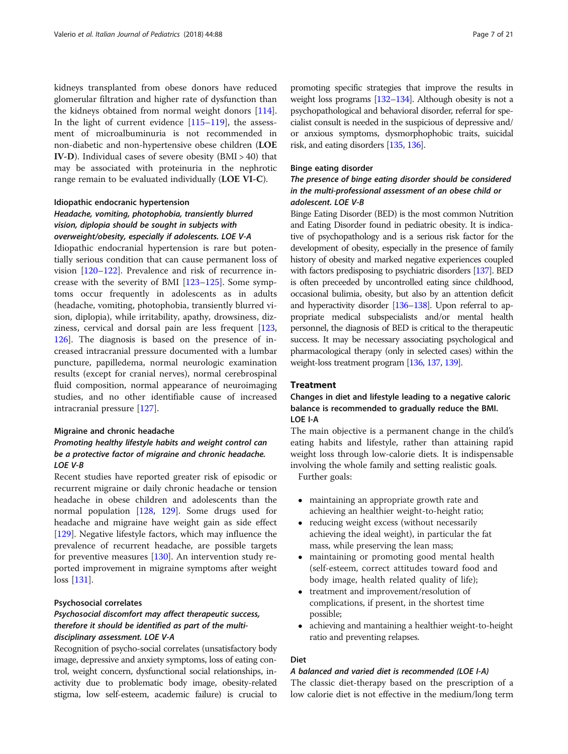kidneys transplanted from obese donors have reduced glomerular filtration and higher rate of dysfunction than the kidneys obtained from normal weight donors [\[114](#page-16-0)]. In the light of current evidence [\[115](#page-16-0)–[119\]](#page-16-0), the assessment of microalbuminuria is not recommended in non-diabetic and non-hypertensive obese children (LOE IV-D). Individual cases of severe obesity (BMI > 40) that may be associated with proteinuria in the nephrotic range remain to be evaluated individually (LOE VI-C).

# Idiopathic endocranic hypertension Headache, vomiting, photophobia, transiently blurred vision, diplopia should be sought in subjects with

overweight/obesity, especially if adolescents. LOE V-A Idiopathic endocranial hypertension is rare but potentially serious condition that can cause permanent loss of vision [[120](#page-16-0)–[122](#page-16-0)]. Prevalence and risk of recurrence increase with the severity of BMI [[123](#page-16-0)–[125](#page-16-0)]. Some symptoms occur frequently in adolescents as in adults (headache, vomiting, photophobia, transiently blurred vision, diplopia), while irritability, apathy, drowsiness, dizziness, cervical and dorsal pain are less frequent [[123](#page-16-0), [126](#page-16-0)]. The diagnosis is based on the presence of increased intracranial pressure documented with a lumbar puncture, papilledema, normal neurologic examination results (except for cranial nerves), normal cerebrospinal fluid composition, normal appearance of neuroimaging studies, and no other identifiable cause of increased intracranial pressure [[127](#page-16-0)].

### Migraine and chronic headache

# Promoting healthy lifestyle habits and weight control can be a protective factor of migraine and chronic headache. LOE V-B

Recent studies have reported greater risk of episodic or recurrent migraine or daily chronic headache or tension headache in obese children and adolescents than the normal population [\[128,](#page-16-0) [129\]](#page-16-0). Some drugs used for headache and migraine have weight gain as side effect [[129\]](#page-16-0). Negative lifestyle factors, which may influence the prevalence of recurrent headache, are possible targets for preventive measures [[130](#page-16-0)]. An intervention study reported improvement in migraine symptoms after weight loss [\[131\]](#page-16-0).

#### Psychosocial correlates

# Psychosocial discomfort may affect therapeutic success, therefore it should be identified as part of the multidisciplinary assessment. LOE V-A

Recognition of psycho-social correlates (unsatisfactory body image, depressive and anxiety symptoms, loss of eating control, weight concern, dysfunctional social relationships, inactivity due to problematic body image, obesity-related stigma, low self-esteem, academic failure) is crucial to

promoting specific strategies that improve the results in weight loss programs [\[132](#page-16-0)–[134](#page-16-0)]. Although obesity is not a psychopathological and behavioral disorder, referral for specialist consult is needed in the suspicious of depressive and/ or anxious symptoms, dysmorphophobic traits, suicidal risk, and eating disorders [\[135,](#page-16-0) [136](#page-16-0)].

#### Binge eating disorder

# The presence of binge eating disorder should be considered in the multi-professional assessment of an obese child or adolescent. LOE V-B

Binge Eating Disorder (BED) is the most common Nutrition and Eating Disorder found in pediatric obesity. It is indicative of psychopathology and is a serious risk factor for the development of obesity, especially in the presence of family history of obesity and marked negative experiences coupled with factors predisposing to psychiatric disorders [\[137](#page-16-0)]. BED is often preceeded by uncontrolled eating since childhood, occasional bulimia, obesity, but also by an attention deficit and hyperactivity disorder [\[136](#page-16-0)–[138\]](#page-16-0). Upon referral to appropriate medical subspecialists and/or mental health personnel, the diagnosis of BED is critical to the therapeutic success. It may be necessary associating psychological and pharmacological therapy (only in selected cases) within the weight-loss treatment program [\[136](#page-16-0), [137,](#page-16-0) [139](#page-16-0)].

#### **Treatment**

# Changes in diet and lifestyle leading to a negative caloric balance is recommended to gradually reduce the BMI. LOE I-A

The main objective is a permanent change in the child's eating habits and lifestyle, rather than attaining rapid weight loss through low-calorie diets. It is indispensable involving the whole family and setting realistic goals. Further goals:

- maintaining an appropriate growth rate and achieving an healthier weight-to-height ratio;
- reducing weight excess (without necessarily achieving the ideal weight), in particular the fat mass, while preserving the lean mass;
- maintaining or promoting good mental health (self-esteem, correct attitudes toward food and body image, health related quality of life);
- treatment and improvement/resolution of complications, if present, in the shortest time possible;
- achieving and mantaining a healthier weight-to-height ratio and preventing relapses.

#### Diet

# A balanced and varied diet is recommended (LOE I-A)

The classic diet-therapy based on the prescription of a low calorie diet is not effective in the medium/long term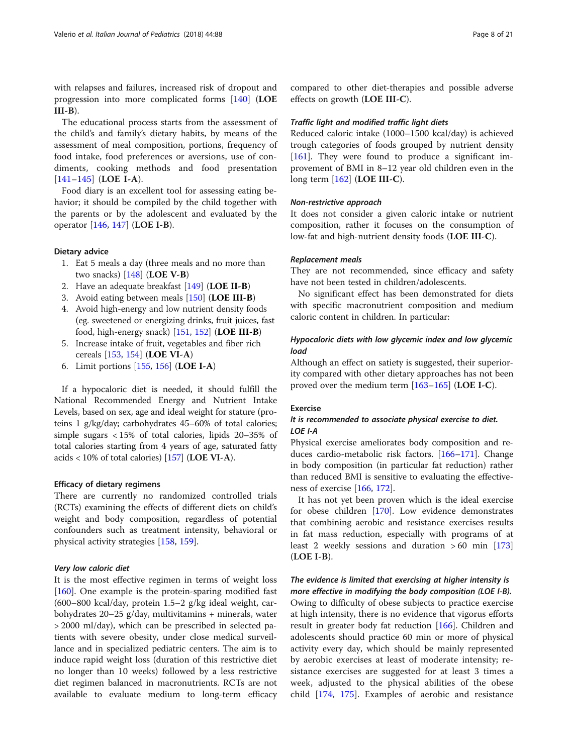with relapses and failures, increased risk of dropout and progression into more complicated forms [[140\]](#page-16-0) (LOE III-B).

The educational process starts from the assessment of the child's and family's dietary habits, by means of the assessment of meal composition, portions, frequency of food intake, food preferences or aversions, use of condiments, cooking methods and food presentation  $[141-145]$  $[141-145]$  $[141-145]$  $[141-145]$  (LOE I-A).

Food diary is an excellent tool for assessing eating behavior; it should be compiled by the child together with the parents or by the adolescent and evaluated by the operator [[146](#page-17-0), [147](#page-17-0)] (LOE I-B).

#### Dietary advice

- 1. Eat 5 meals a day (three meals and no more than two snacks)  $[148]$  $[148]$  $[148]$  (LOE V-B)
- 2. Have an adequate breakfast [\[149\]](#page-17-0) (LOE II-B)
- 3. Avoid eating between meals [[150](#page-17-0)] (LOE III-B)
- 4. Avoid high-energy and low nutrient density foods (eg. sweetened or energizing drinks, fruit juices, fast food, high-energy snack) [[151](#page-17-0), [152\]](#page-17-0) (LOE III-B)
- 5. Increase intake of fruit, vegetables and fiber rich cereals [\[153,](#page-17-0) [154](#page-17-0)] (LOE VI-A)
- 6. Limit portions [\[155,](#page-17-0) [156](#page-17-0)] (LOE I-A)

If a hypocaloric diet is needed, it should fulfill the National Recommended Energy and Nutrient Intake Levels, based on sex, age and ideal weight for stature (proteins 1 g/kg/day; carbohydrates 45–60% of total calories; simple sugars < 15% of total calories, lipids 20–35% of total calories starting from 4 years of age, saturated fatty acids < 10% of total calories) [\[157\]](#page-17-0) (LOE VI-A).

#### Efficacy of dietary regimens

There are currently no randomized controlled trials (RCTs) examining the effects of different diets on child's weight and body composition, regardless of potential confounders such as treatment intensity, behavioral or physical activity strategies [\[158](#page-17-0), [159](#page-17-0)].

#### Very low caloric diet

It is the most effective regimen in terms of weight loss [[160\]](#page-17-0). One example is the protein-sparing modified fast (600–800 kcal/day, protein 1.5–2 g/kg ideal weight, carbohydrates 20–25 g/day, multivitamins + minerals, water > 2000 ml/day), which can be prescribed in selected patients with severe obesity, under close medical surveillance and in specialized pediatric centers. The aim is to induce rapid weight loss (duration of this restrictive diet no longer than 10 weeks) followed by a less restrictive diet regimen balanced in macronutrients. RCTs are not available to evaluate medium to long-term efficacy

compared to other diet-therapies and possible adverse effects on growth (LOE III-C).

#### Traffic light and modified traffic light diets

Reduced caloric intake (1000–1500 kcal/day) is achieved trough categories of foods grouped by nutrient density [[161\]](#page-17-0). They were found to produce a significant improvement of BMI in 8–12 year old children even in the long term [[162\]](#page-17-0) (LOE III-C).

#### Non-restrictive approach

It does not consider a given caloric intake or nutrient composition, rather it focuses on the consumption of low-fat and high-nutrient density foods (LOE III-C).

#### Replacement meals

They are not recommended, since efficacy and safety have not been tested in children/adolescents.

No significant effect has been demonstrated for diets with specific macronutrient composition and medium caloric content in children. In particular:

# Hypocaloric diets with low glycemic index and low glycemic load

Although an effect on satiety is suggested, their superiority compared with other dietary approaches has not been proved over the medium term [[163](#page-17-0)–[165\]](#page-17-0) (LOE I-C).

#### Exercise

# It is recommended to associate physical exercise to diet. LOE I-A

Physical exercise ameliorates body composition and reduces cardio-metabolic risk factors. [\[166](#page-17-0)–[171\]](#page-17-0). Change in body composition (in particular fat reduction) rather than reduced BMI is sensitive to evaluating the effectiveness of exercise [[166](#page-17-0), [172](#page-17-0)].

It has not yet been proven which is the ideal exercise for obese children [[170](#page-17-0)]. Low evidence demonstrates that combining aerobic and resistance exercises results in fat mass reduction, especially with programs of at least 2 weekly sessions and duration > 60 min [[173](#page-17-0)] (LOE I-B).

# The evidence is limited that exercising at higher intensity is

more effective in modifying the body composition (LOE I-B). Owing to difficulty of obese subjects to practice exercise at high intensity, there is no evidence that vigorus efforts result in greater body fat reduction [[166\]](#page-17-0). Children and adolescents should practice 60 min or more of physical activity every day, which should be mainly represented by aerobic exercises at least of moderate intensity; resistance exercises are suggested for at least 3 times a week, adjusted to the physical abilities of the obese child [[174,](#page-17-0) [175\]](#page-17-0). Examples of aerobic and resistance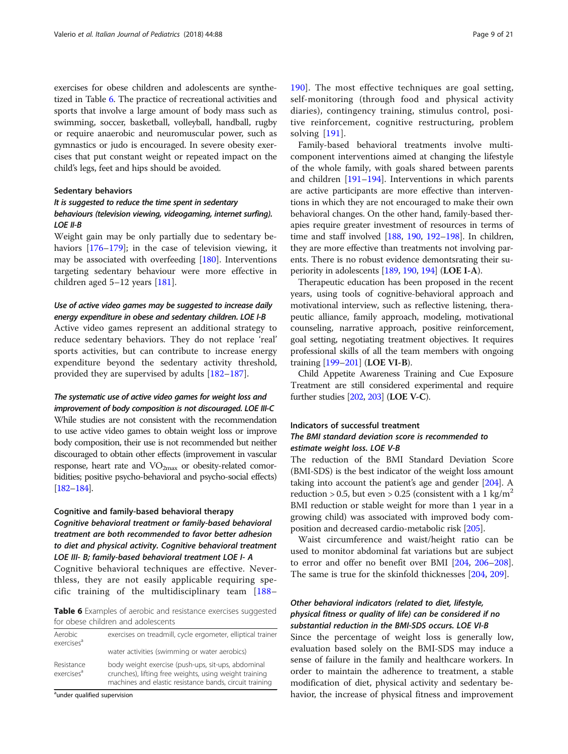exercises for obese children and adolescents are synthetized in Table 6. The practice of recreational activities and sports that involve a large amount of body mass such as swimming, soccer, basketball, volleyball, handball, rugby or require anaerobic and neuromuscular power, such as gymnastics or judo is encouraged. In severe obesity exercises that put constant weight or repeated impact on the child's legs, feet and hips should be avoided.

#### Sedentary behaviors

# It is suggested to reduce the time spent in sedentary behaviours (television viewing, videogaming, internet surfing). LOE II-B

Weight gain may be only partially due to sedentary be-haviors [[176](#page-17-0)–[179](#page-17-0)]; in the case of television viewing, it may be associated with overfeeding [\[180\]](#page-17-0). Interventions targeting sedentary behaviour were more effective in children aged 5–12 years [\[181\]](#page-17-0).

# Use of active video games may be suggested to increase daily energy expenditure in obese and sedentary children. LOE I-B

Active video games represent an additional strategy to reduce sedentary behaviors. They do not replace 'real' sports activities, but can contribute to increase energy expenditure beyond the sedentary activity threshold, provided they are supervised by adults [\[182](#page-17-0)–[187\]](#page-17-0).

# The systematic use of active video games for weight loss and improvement of body composition is not discouraged. LOE III-C

While studies are not consistent with the recommendation to use active video games to obtain weight loss or improve body composition, their use is not recommended but neither discouraged to obtain other effects (improvement in vascular response, heart rate and VO<sub>2max</sub> or obesity-related comorbidities; positive psycho-behavioral and psycho-social effects) [[182](#page-17-0)–[184\]](#page-17-0).

#### Cognitive and family-based behavioral therapy

Cognitive behavioral treatment or family-based behavioral treatment are both recommended to favor better adhesion to diet and physical activity. Cognitive behavioral treatment LOE III- B; family-based behavioral treatment LOE I- A

Cognitive behavioral techniques are effective. Neverthless, they are not easily applicable requiring specific training of the multidisciplinary team [\[188](#page-17-0)–

Table 6 Examples of aerobic and resistance exercises suggested for obese children and adolescents

| Aerobic<br>exercises <sup>a</sup>    | exercises on treadmill, cycle ergometer, elliptical trainer                                                                                                             |
|--------------------------------------|-------------------------------------------------------------------------------------------------------------------------------------------------------------------------|
|                                      | water activities (swimming or water aerobics)                                                                                                                           |
| Resistance<br>exercises <sup>a</sup> | body weight exercise (push-ups, sit-ups, abdominal<br>crunches), lifting free weights, using weight training<br>machines and elastic resistance bands, circuit training |

<sup>a</sup>under qualified supervision

[190](#page-17-0)]. The most effective techniques are goal setting, self-monitoring (through food and physical activity diaries), contingency training, stimulus control, positive reinforcement, cognitive restructuring, problem solving [[191](#page-17-0)].

Family-based behavioral treatments involve multicomponent interventions aimed at changing the lifestyle of the whole family, with goals shared between parents and children [[191](#page-17-0)–[194\]](#page-17-0). Interventions in which parents are active participants are more effective than interventions in which they are not encouraged to make their own behavioral changes. On the other hand, family-based therapies require greater investment of resources in terms of time and staff involved [\[188,](#page-17-0) [190](#page-17-0), [192](#page-17-0)–[198](#page-18-0)]. In children, they are more effective than treatments not involving parents. There is no robust evidence demontsrating their superiority in adolescents [\[189,](#page-17-0) [190,](#page-17-0) [194\]](#page-17-0) (LOE I-A).

Therapeutic education has been proposed in the recent years, using tools of cognitive-behavioral approach and motivational interview, such as reflective listening, therapeutic alliance, family approach, modeling, motivational counseling, narrative approach, positive reinforcement, goal setting, negotiating treatment objectives. It requires professional skills of all the team members with ongoing training [[199](#page-18-0)–[201](#page-18-0)] (LOE VI-B).

Child Appetite Awareness Training and Cue Exposure Treatment are still considered experimental and require further studies [\[202](#page-18-0), [203\]](#page-18-0) (LOE V-C).

# Indicators of successful treatment The BMI standard deviation score is recommended to estimate weight loss. LOE V-B

The reduction of the BMI Standard Deviation Score (BMI-SDS) is the best indicator of the weight loss amount taking into account the patient's age and gender [[204\]](#page-18-0). A reduction > 0.5, but even > 0.25 (consistent with a 1 kg/m<sup>2</sup> BMI reduction or stable weight for more than 1 year in a growing child) was associated with improved body composition and decreased cardio-metabolic risk [\[205\]](#page-18-0).

Waist circumference and waist/height ratio can be used to monitor abdominal fat variations but are subject to error and offer no benefit over BMI [[204,](#page-18-0) [206](#page-18-0)–[208](#page-18-0)]. The same is true for the skinfold thicknesses [\[204,](#page-18-0) [209\]](#page-18-0).

# Other behavioral indicators (related to diet, lifestyle, physical fitness or quality of life) can be considered if no substantial reduction in the BMI-SDS occurs. LOE VI-B

Since the percentage of weight loss is generally low, evaluation based solely on the BMI-SDS may induce a sense of failure in the family and healthcare workers. In order to maintain the adherence to treatment, a stable modification of diet, physical activity and sedentary behavior, the increase of physical fitness and improvement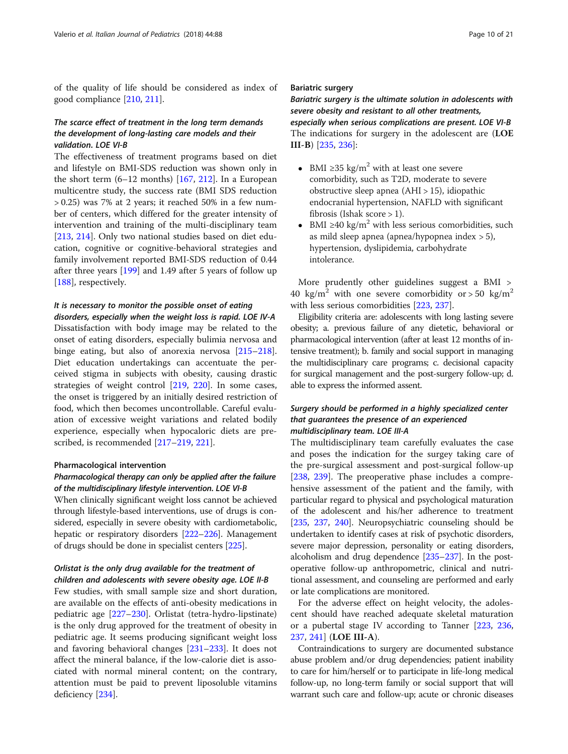of the quality of life should be considered as index of good compliance [\[210](#page-18-0), [211](#page-18-0)].

# The scarce effect of treatment in the long term demands the development of long-lasting care models and their validation. LOE VI-B

The effectiveness of treatment programs based on diet and lifestyle on BMI-SDS reduction was shown only in the short term  $(6-12 \text{ months})$   $[167, 212]$  $[167, 212]$  $[167, 212]$ . In a European multicentre study, the success rate (BMI SDS reduction  $> 0.25$ ) was 7% at 2 years; it reached 50% in a few number of centers, which differed for the greater intensity of intervention and training of the multi-disciplinary team [[213,](#page-18-0) [214\]](#page-18-0). Only two national studies based on diet education, cognitive or cognitive-behavioral strategies and family involvement reported BMI-SDS reduction of 0.44 after three years [\[199\]](#page-18-0) and 1.49 after 5 years of follow up [[188\]](#page-17-0), respectively.

#### It is necessary to monitor the possible onset of eating

disorders, especially when the weight loss is rapid. LOE IV-A Dissatisfaction with body image may be related to the onset of eating disorders, especially bulimia nervosa and binge eating, but also of anorexia nervosa [[215](#page-18-0)–[218](#page-18-0)]. Diet education undertakings can accentuate the perceived stigma in subjects with obesity, causing drastic strategies of weight control [\[219,](#page-18-0) [220\]](#page-18-0). In some cases, the onset is triggered by an initially desired restriction of food, which then becomes uncontrollable. Careful evaluation of excessive weight variations and related bodily experience, especially when hypocaloric diets are prescribed, is recommended [\[217](#page-18-0)–[219](#page-18-0), [221](#page-18-0)].

#### Pharmacological intervention

# Pharmacological therapy can only be applied after the failure of the multidisciplinary lifestyle intervention. LOE VI-B

When clinically significant weight loss cannot be achieved through lifestyle-based interventions, use of drugs is considered, especially in severe obesity with cardiometabolic, hepatic or respiratory disorders [[222](#page-18-0)–[226](#page-18-0)]. Management of drugs should be done in specialist centers [\[225\]](#page-18-0).

# Orlistat is the only drug available for the treatment of children and adolescents with severe obesity age. LOE II-B

Few studies, with small sample size and short duration, are available on the effects of anti-obesity medications in pediatric age [\[227](#page-18-0)–[230\]](#page-18-0). Orlistat (tetra-hydro-lipstinate) is the only drug approved for the treatment of obesity in pediatric age. It seems producing significant weight loss and favoring behavioral changes [[231](#page-18-0)–[233](#page-18-0)]. It does not affect the mineral balance, if the low-calorie diet is associated with normal mineral content; on the contrary, attention must be paid to prevent liposoluble vitamins deficiency [\[234](#page-18-0)].

#### Bariatric surgery

Bariatric surgery is the ultimate solution in adolescents with severe obesity and resistant to all other treatments, especially when serious complications are present. LOE VI-B The indications for surgery in the adolescent are (LOE III-B) [\[235,](#page-18-0) [236\]](#page-18-0):

- BMI ≥35 kg/m<sup>2</sup> with at least one severe comorbidity, such as T2D, moderate to severe obstructive sleep apnea (AHI > 15), idiopathic endocranial hypertension, NAFLD with significant fibrosis (Ishak score  $> 1$ ).
- BMI  $\geq$ 40 kg/m<sup>2</sup> with less serious comorbidities, such as mild sleep apnea (apnea/hypopnea index > 5), hypertension, dyslipidemia, carbohydrate intolerance.

More prudently other guidelines suggest a BMI > 40 kg/m<sup>2</sup> with one severe comorbidity or > 50 kg/m<sup>2</sup> with less serious comorbidities [[223](#page-18-0), [237](#page-18-0)].

Eligibility criteria are: adolescents with long lasting severe obesity; a. previous failure of any dietetic, behavioral or pharmacological intervention (after at least 12 months of intensive treatment); b. family and social support in managing the multidisciplinary care programs; c. decisional capacity for surgical management and the post-surgery follow-up; d. able to express the informed assent.

# Surgery should be performed in a highly specialized center that guarantees the presence of an experienced multidisciplinary team. LOE III-A

The multidisciplinary team carefully evaluates the case and poses the indication for the surgey taking care of the pre-surgical assessment and post-surgical follow-up [[238,](#page-18-0) [239\]](#page-18-0). The preoperative phase includes a comprehensive assessment of the patient and the family, with particular regard to physical and psychological maturation of the adolescent and his/her adherence to treatment [[235](#page-18-0), [237,](#page-18-0) [240\]](#page-18-0). Neuropsychiatric counseling should be undertaken to identify cases at risk of psychotic disorders, severe major depression, personality or eating disorders, alcoholism and drug dependence [\[235](#page-18-0)–[237](#page-18-0)]. In the postoperative follow-up anthropometric, clinical and nutritional assessment, and counseling are performed and early or late complications are monitored.

For the adverse effect on height velocity, the adolescent should have reached adequate skeletal maturation or a pubertal stage IV according to Tanner [\[223,](#page-18-0) [236](#page-18-0), [237](#page-18-0), [241](#page-18-0)] (LOE III-A).

Contraindications to surgery are documented substance abuse problem and/or drug dependencies; patient inability to care for him/herself or to participate in life-long medical follow-up, no long-term family or social support that will warrant such care and follow-up; acute or chronic diseases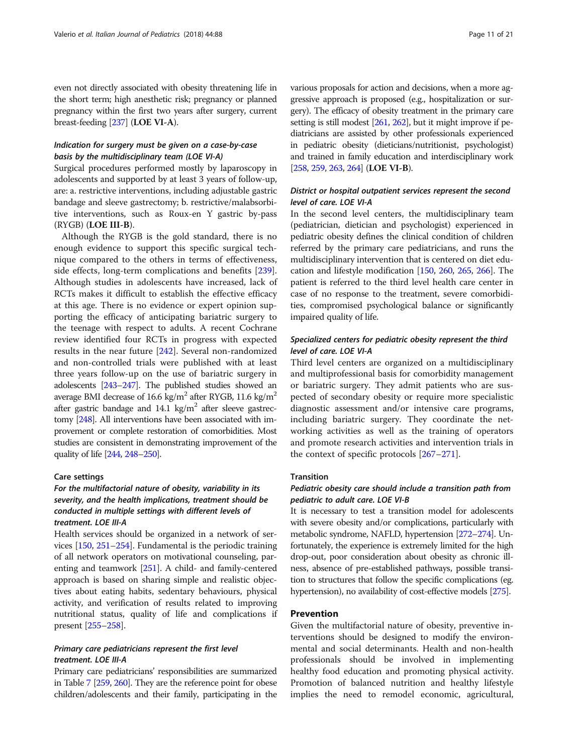even not directly associated with obesity threatening life in the short term; high anesthetic risk; pregnancy or planned pregnancy within the first two years after surgery, current breast-feeding [\[237](#page-18-0)] (LOE VI-A).

# Indication for surgery must be given on a case-by-case basis by the multidisciplinary team (LOE VI-A)

Surgical procedures performed mostly by laparoscopy in adolescents and supported by at least 3 years of follow-up, are: a. restrictive interventions, including adjustable gastric bandage and sleeve gastrectomy; b. restrictive/malabsorbitive interventions, such as Roux-en Y gastric by-pass (RYGB) (LOE III-B).

Although the RYGB is the gold standard, there is no enough evidence to support this specific surgical technique compared to the others in terms of effectiveness, side effects, long-term complications and benefits [\[239](#page-18-0)]. Although studies in adolescents have increased, lack of RCTs makes it difficult to establish the effective efficacy at this age. There is no evidence or expert opinion supporting the efficacy of anticipating bariatric surgery to the teenage with respect to adults. A recent Cochrane review identified four RCTs in progress with expected results in the near future [[242\]](#page-18-0). Several non-randomized and non-controlled trials were published with at least three years follow-up on the use of bariatric surgery in adolescents [[243](#page-18-0)–[247](#page-19-0)]. The published studies showed an average BMI decrease of 16.6 kg/m<sup>2</sup> after RYGB, 11.6 kg/m<sup>2</sup> after gastric bandage and  $14.1 \text{ kg/m}^2$  after sleeve gastrectomy [[248\]](#page-19-0). All interventions have been associated with improvement or complete restoration of comorbidities. Most studies are consistent in demonstrating improvement of the quality of life [\[244](#page-18-0), [248](#page-19-0)–[250](#page-19-0)].

#### Care settings

# For the multifactorial nature of obesity, variability in its severity, and the health implications, treatment should be conducted in multiple settings with different levels of treatment. LOE III-A

Health services should be organized in a network of services [[150](#page-17-0), [251](#page-19-0)–[254\]](#page-19-0). Fundamental is the periodic training of all network operators on motivational counseling, parenting and teamwork [\[251\]](#page-19-0). A child- and family-centered approach is based on sharing simple and realistic objectives about eating habits, sedentary behaviours, physical activity, and verification of results related to improving nutritional status, quality of life and complications if present [[255](#page-19-0)–[258\]](#page-19-0).

# Primary care pediatricians represent the first level treatment. LOE III-A

Primary care pediatricians' responsibilities are summarized in Table [7](#page-11-0) [\[259](#page-19-0), [260\]](#page-19-0). They are the reference point for obese children/adolescents and their family, participating in the various proposals for action and decisions, when a more aggressive approach is proposed (e.g., hospitalization or surgery). The efficacy of obesity treatment in the primary care setting is still modest [[261,](#page-19-0) [262\]](#page-19-0), but it might improve if pediatricians are assisted by other professionals experienced in pediatric obesity (dieticians/nutritionist, psychologist) and trained in family education and interdisciplinary work [[258,](#page-19-0) [259,](#page-19-0) [263](#page-19-0), [264](#page-19-0)] (LOE VI-B).

# District or hospital outpatient services represent the second level of care. LOE VI-A

In the second level centers, the multidisciplinary team (pediatrician, dietician and psychologist) experienced in pediatric obesity defines the clinical condition of children referred by the primary care pediatricians, and runs the multidisciplinary intervention that is centered on diet education and lifestyle modification [\[150,](#page-17-0) [260,](#page-19-0) [265](#page-19-0), [266](#page-19-0)]. The patient is referred to the third level health care center in case of no response to the treatment, severe comorbidities, compromised psychological balance or significantly impaired quality of life.

# Specialized centers for pediatric obesity represent the third level of care. LOE VI-A

Third level centers are organized on a multidisciplinary and multiprofessional basis for comorbidity management or bariatric surgery. They admit patients who are suspected of secondary obesity or require more specialistic diagnostic assessment and/or intensive care programs, including bariatric surgery. They coordinate the networking activities as well as the training of operators and promote research activities and intervention trials in the context of specific protocols [\[267](#page-19-0)–[271\]](#page-19-0).

#### **Transition**

# Pediatric obesity care should include a transition path from pediatric to adult care. LOE VI-B

It is necessary to test a transition model for adolescents with severe obesity and/or complications, particularly with metabolic syndrome, NAFLD, hypertension [\[272](#page-19-0)–[274](#page-19-0)]. Unfortunately, the experience is extremely limited for the high drop-out, poor consideration about obesity as chronic illness, absence of pre-established pathways, possible transition to structures that follow the specific complications (eg. hypertension), no availability of cost-effective models [[275\]](#page-19-0).

## Prevention

Given the multifactorial nature of obesity, preventive interventions should be designed to modify the environmental and social determinants. Health and non-health professionals should be involved in implementing healthy food education and promoting physical activity. Promotion of balanced nutrition and healthy lifestyle implies the need to remodel economic, agricultural,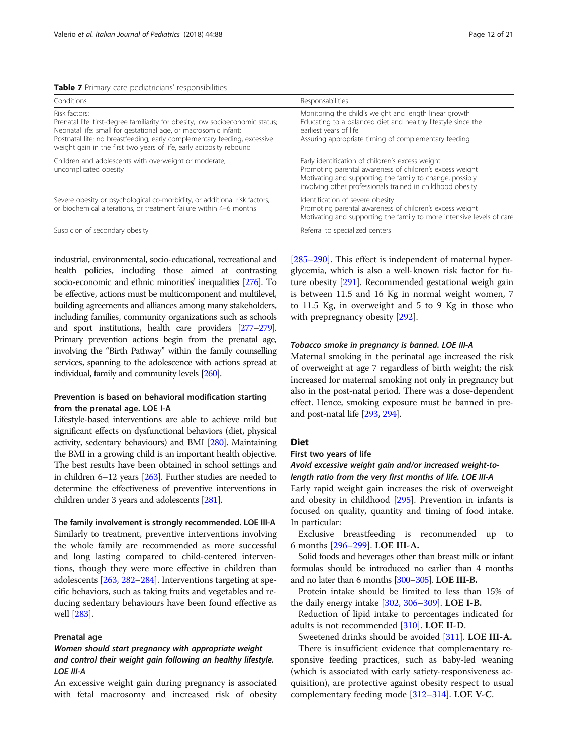<span id="page-11-0"></span>

|  |  |  |  | <b>Table 7</b> Primary care pediatricians' responsibilities |
|--|--|--|--|-------------------------------------------------------------|
|--|--|--|--|-------------------------------------------------------------|

| Conditions                                                                                                                                                                                                                                                                                                            | Responsabilities                                                                                                                                                                                                                       |
|-----------------------------------------------------------------------------------------------------------------------------------------------------------------------------------------------------------------------------------------------------------------------------------------------------------------------|----------------------------------------------------------------------------------------------------------------------------------------------------------------------------------------------------------------------------------------|
| Risk factors:<br>Prenatal life: first-degree familiarity for obesity, low socioeconomic status;<br>Neonatal life: small for gestational age, or macrosomic infant;<br>Postnatal life: no breastfeeding, early complementary feeding, excessive<br>weight gain in the first two years of life, early adiposity rebound | Monitoring the child's weight and length linear growth<br>Educating to a balanced diet and healthy lifestyle since the<br>earliest years of life<br>Assuring appropriate timing of complementary feeding                               |
| Children and adolescents with overweight or moderate,<br>uncomplicated obesity                                                                                                                                                                                                                                        | Early identification of children's excess weight<br>Promoting parental awareness of children's excess weight<br>Motivating and supporting the family to change, possibly<br>involving other professionals trained in childhood obesity |
| Severe obesity or psychological co-morbidity, or additional risk factors,<br>or biochemical alterations, or treatment failure within 4-6 months                                                                                                                                                                       | Identification of severe obesity<br>Promoting parental awareness of children's excess weight<br>Motivating and supporting the family to more intensive levels of care                                                                  |
| Suspicion of secondary obesity                                                                                                                                                                                                                                                                                        | Referral to specialized centers                                                                                                                                                                                                        |

industrial, environmental, socio-educational, recreational and health policies, including those aimed at contrasting socio-economic and ethnic minorities' inequalities [\[276\]](#page-19-0). To be effective, actions must be multicomponent and multilevel, building agreements and alliances among many stakeholders, including families, community organizations such as schools and sport institutions, health care providers [\[277](#page-19-0)–[279\]](#page-19-0). Primary prevention actions begin from the prenatal age, involving the "Birth Pathway" within the family counselling services, spanning to the adolescence with actions spread at individual, family and community levels [\[260\]](#page-19-0).

# Prevention is based on behavioral modification starting from the prenatal age. LOE I-A

Lifestyle-based interventions are able to achieve mild but significant effects on dysfunctional behaviors (diet, physical activity, sedentary behaviours) and BMI [\[280](#page-19-0)]. Maintaining the BMI in a growing child is an important health objective. The best results have been obtained in school settings and in children 6–12 years [[263\]](#page-19-0). Further studies are needed to determine the effectiveness of preventive interventions in children under 3 years and adolescents [\[281](#page-19-0)].

The family involvement is strongly recommended. LOE III-A

Similarly to treatment, preventive interventions involving the whole family are recommended as more successful and long lasting compared to child-centered interventions, though they were more effective in children than adolescents [\[263,](#page-19-0) [282](#page-19-0)–[284\]](#page-19-0). Interventions targeting at specific behaviors, such as taking fruits and vegetables and reducing sedentary behaviours have been found effective as well [\[283\]](#page-19-0).

#### Prenatal age

# Women should start pregnancy with appropriate weight and control their weight gain following an healthy lifestyle. LOE III-A

An excessive weight gain during pregnancy is associated with fetal macrosomy and increased risk of obesity [[285](#page-19-0)–[290](#page-19-0)]. This effect is independent of maternal hyperglycemia, which is also a well-known risk factor for future obesity [[291](#page-19-0)]. Recommended gestational weigh gain is between 11.5 and 16 Kg in normal weight women, 7 to 11.5 Kg, in overweight and 5 to 9 Kg in those who with prepregnancy obesity [\[292](#page-19-0)].

#### Tobacco smoke in pregnancy is banned. LOE III-A

Maternal smoking in the perinatal age increased the risk of overweight at age 7 regardless of birth weight; the risk increased for maternal smoking not only in pregnancy but also in the post-natal period. There was a dose-dependent effect. Hence, smoking exposure must be banned in preand post-natal life [\[293,](#page-19-0) [294\]](#page-19-0).

#### Diet

# First two years of life

# Avoid excessive weight gain and/or increased weight-tolength ratio from the very first months of life. LOE III-A

Early rapid weight gain increases the risk of overweight and obesity in childhood [\[295\]](#page-19-0). Prevention in infants is focused on quality, quantity and timing of food intake. In particular:

Exclusive breastfeeding is recommended up to 6 months [[296](#page-20-0)–[299](#page-20-0)]. LOE III-A.

Solid foods and beverages other than breast milk or infant formulas should be introduced no earlier than 4 months and no later than 6 months [\[300](#page-20-0)–[305\]](#page-20-0). LOE III-B.

Protein intake should be limited to less than 15% of the daily energy intake [\[302](#page-20-0), [306](#page-20-0)–[309\]](#page-20-0). LOE I-B.

Reduction of lipid intake to percentages indicated for adults is not recommended [[310\]](#page-20-0). LOE II-D.

Sweetened drinks should be avoided [[311](#page-20-0)]. LOE III-A.

There is insufficient evidence that complementary responsive feeding practices, such as baby-led weaning (which is associated with early satiety-responsiveness acquisition), are protective against obesity respect to usual complementary feeding mode [[312](#page-20-0)–[314](#page-20-0)]. LOE V-C.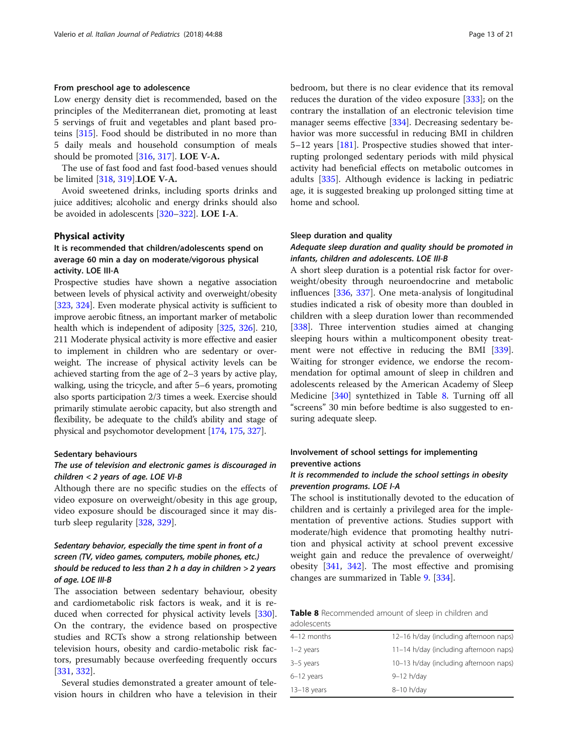#### From preschool age to adolescence

Low energy density diet is recommended, based on the principles of the Mediterranean diet, promoting at least 5 servings of fruit and vegetables and plant based proteins [[315](#page-20-0)]. Food should be distributed in no more than 5 daily meals and household consumption of meals should be promoted [[316](#page-20-0), [317](#page-20-0)]. LOE V-A.

The use of fast food and fast food-based venues should be limited [[318,](#page-20-0) [319](#page-20-0)].LOE V-A.

Avoid sweetened drinks, including sports drinks and juice additives; alcoholic and energy drinks should also be avoided in adolescents [\[320](#page-20-0)–[322\]](#page-20-0). LOE I-A.

#### Physical activity

# It is recommended that children/adolescents spend on average 60 min a day on moderate/vigorous physical activity. LOE III-A

Prospective studies have shown a negative association between levels of physical activity and overweight/obesity [[323](#page-20-0), [324](#page-20-0)]. Even moderate physical activity is sufficient to improve aerobic fitness, an important marker of metabolic health which is independent of adiposity [\[325,](#page-20-0) [326](#page-20-0)]. 210, 211 Moderate physical activity is more effective and easier to implement in children who are sedentary or overweight. The increase of physical activity levels can be achieved starting from the age of 2–3 years by active play, walking, using the tricycle, and after 5–6 years, promoting also sports participation 2/3 times a week. Exercise should primarily stimulate aerobic capacity, but also strength and flexibility, be adequate to the child's ability and stage of physical and psychomotor development [\[174,](#page-17-0) [175,](#page-17-0) [327\]](#page-20-0).

#### Sedentary behaviours

# The use of television and electronic games is discouraged in children < 2 years of age. LOE VI-B

Although there are no specific studies on the effects of video exposure on overweight/obesity in this age group, video exposure should be discouraged since it may disturb sleep regularity [\[328,](#page-20-0) [329\]](#page-20-0).

# Sedentary behavior, especially the time spent in front of a screen (TV, video games, computers, mobile phones, etc.) should be reduced to less than 2 h a day in children > 2 years of age. LOE III-B

The association between sedentary behaviour, obesity and cardiometabolic risk factors is weak, and it is reduced when corrected for physical activity levels [\[330](#page-20-0)]. On the contrary, the evidence based on prospective studies and RCTs show a strong relationship between television hours, obesity and cardio-metabolic risk factors, presumably because overfeeding frequently occurs [[331,](#page-20-0) [332](#page-20-0)].

Several studies demonstrated a greater amount of television hours in children who have a television in their bedroom, but there is no clear evidence that its removal reduces the duration of the video exposure [[333](#page-20-0)]; on the contrary the installation of an electronic television time manager seems effective [\[334](#page-20-0)]. Decreasing sedentary behavior was more successful in reducing BMI in children 5–12 years [\[181](#page-17-0)]. Prospective studies showed that interrupting prolonged sedentary periods with mild physical activity had beneficial effects on metabolic outcomes in adults [\[335\]](#page-20-0). Although evidence is lacking in pediatric age, it is suggested breaking up prolonged sitting time at home and school.

#### Sleep duration and quality

#### Adequate sleep duration and quality should be promoted in infants, children and adolescents. LOE III-B

A short sleep duration is a potential risk factor for overweight/obesity through neuroendocrine and metabolic influences [[336,](#page-20-0) [337](#page-20-0)]. One meta-analysis of longitudinal studies indicated a risk of obesity more than doubled in children with a sleep duration lower than recommended [[338\]](#page-20-0). Three intervention studies aimed at changing sleeping hours within a multicomponent obesity treatment were not effective in reducing the BMI [[339](#page-20-0)]. Waiting for stronger evidence, we endorse the recommendation for optimal amount of sleep in children and adolescents released by the American Academy of Sleep Medicine [[340](#page-20-0)] syntethized in Table 8. Turning off all "screens" 30 min before bedtime is also suggested to ensuring adequate sleep.

# Involvement of school settings for implementing preventive actions

# It is recommended to include the school settings in obesity prevention programs. LOE I-A

The school is institutionally devoted to the education of children and is certainly a privileged area for the implementation of preventive actions. Studies support with moderate/high evidence that promoting healthy nutrition and physical activity at school prevent excessive weight gain and reduce the prevalence of overweight/ obesity [[341,](#page-20-0) [342](#page-20-0)]. The most effective and promising changes are summarized in Table [9](#page-13-0). [[334](#page-20-0)].

| Table 8 Recommended amount of sleep in children and |  |  |  |
|-----------------------------------------------------|--|--|--|
| adolescents                                         |  |  |  |

| 4-12 months   | 12-16 h/day (including afternoon naps) |
|---------------|----------------------------------------|
| $1-2$ years   | 11-14 h/day (including afternoon naps) |
| $3-5$ years   | 10-13 h/day (including afternoon naps) |
| $6-12$ years  | $9-12 h/day$                           |
| $13-18$ years | 8-10 h/day                             |
|               |                                        |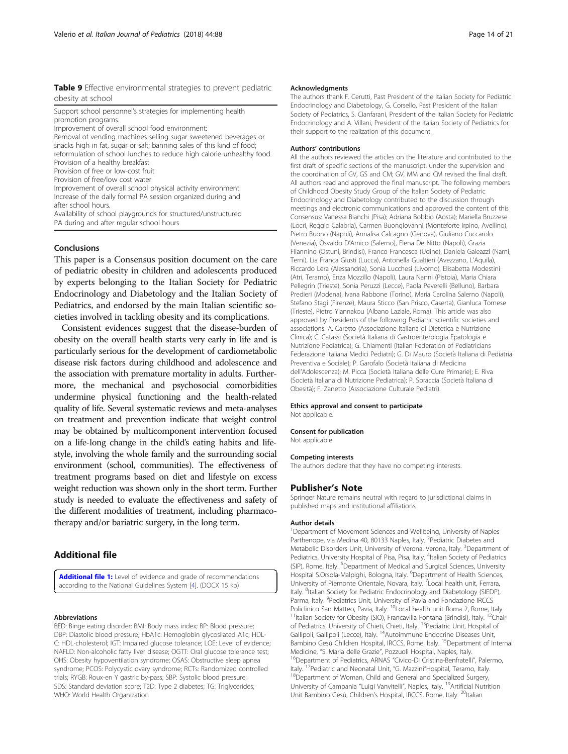<span id="page-13-0"></span>Table 9 Effective environmental strategies to prevent pediatric obesity at school

Support school personnel's strategies for implementing health promotion programs.

Improvement of overall school food environment:

Removal of vending machines selling sugar sweetened beverages or snacks high in fat, sugar or salt; banning sales of this kind of food; reformulation of school lunches to reduce high calorie unhealthy food. Provision of a healthy breakfast Provision of free or low-cost fruit Provision of free/low cost water Improvement of overall school physical activity environment: Increase of the daily formal PA session organized during and after school hours. Availability of school playgrounds for structured/unstructured

PA during and after regular school hours

#### Conclusions

This paper is a Consensus position document on the care of pediatric obesity in children and adolescents produced by experts belonging to the Italian Society for Pediatric Endocrinology and Diabetology and the Italian Society of Pediatrics, and endorsed by the main Italian scientific societies involved in tackling obesity and its complications.

Consistent evidences suggest that the disease-burden of obesity on the overall health starts very early in life and is particularly serious for the development of cardiometabolic disease risk factors during childhood and adolescence and the association with premature mortality in adults. Furthermore, the mechanical and psychosocial comorbidities undermine physical functioning and the health-related quality of life. Several systematic reviews and meta-analyses on treatment and prevention indicate that weight control may be obtained by multicomponent intervention focused on a life-long change in the child's eating habits and lifestyle, involving the whole family and the surrounding social environment (school, communities). The effectiveness of treatment programs based on diet and lifestyle on excess weight reduction was shown only in the short term. Further study is needed to evaluate the effectiveness and safety of the different modalities of treatment, including pharmacotherapy and/or bariatric surgery, in the long term.

# Additional file

[Additional file 1:](https://doi.org/10.1186/s13052-018-0525-6) Level of evidence and grade of recommendations according to the National Guidelines System [[4](#page-14-0)]. (DOCX 15 kb)

#### Abbreviations

BED: Binge eating disorder; BMI: Body mass index; BP: Blood pressure; DBP: Diastolic blood pressure; HbA1c: Hemoglobin glycosilated A1c; HDL-C: HDL-cholesterol; IGT: Impaired glucose tolerance; LOE: Level of evidence; NAFLD: Non-alcoholic fatty liver disease; OGTT: Oral glucose tolerance test; OHS: Obesity hypoventilation syndrome; OSAS: Obstructive sleep apnea syndrome; PCOS: Polycystic ovary syndrome; RCTs: Randomized controlled trials; RYGB: Roux-en Y gastric by-pass; SBP: Systolic blood pressure; SDS: Standard deviation score; T2D: Type 2 diabetes; TG: Triglycerides; WHO: World Health Organization

#### Acknowledgments

The authors thank F. Cerutti, Past President of the Italian Society for Pediatric Endocrinology and Diabetology, G. Corsello, Past President of the Italian Society of Pediatrics, S. Cianfarani, President of the Italian Society for Pediatric Endocrinology and A. Villani, President of the Italian Society of Pediatrics for their support to the realization of this document.

#### Authors' contributions

All the authors reviewed the articles on the literature and contributed to the first draft of specific sections of the manuscript, under the supervision and the coordination of GV, GS and CM; GV, MM and CM revised the final draft. All authors read and approved the final manuscript. The following members of Childhood Obesity Study Group of the Italian Society of Pediatric Endocrinology and Diabetology contributed to the discussion through meetings and electronic communications and approved the content of this Consensus: Vanessa Bianchi (Pisa); Adriana Bobbio (Aosta); Mariella Bruzzese (Locri, Reggio Calabria), Carmen Buongiovanni (Monteforte Irpino, Avellino), Pietro Buono (Napoli), Annalisa Calcagno (Genova), Giuliano Cuccarolo (Venezia), Osvaldo D'Amico (Salerno), Elena De Nitto (Napoli), Grazia Filannino (Ostuni, Brindisi), Franco Francesca (Udine), Daniela Galeazzi (Narni, Terni), Lia Franca Giusti (Lucca), Antonella Gualtieri (Avezzano, L'Aquila), Riccardo Lera (Alessandria), Sonia Lucchesi (Livorno), Elisabetta Modestini (Atri, Teramo), Enza Mozzillo (Napoli), Laura Nanni (Pistoia), Maria Chiara Pellegrin (Trieste), Sonia Peruzzi (Lecce), Paola Peverelli (Belluno), Barbara Predieri (Modena), Ivana Rabbone (Torino), Maria Carolina Salerno (Napoli), Stefano Stagi (Firenze), Maura Sticco (San Prisco, Caserta), Gianluca Tornese (Trieste), Pietro Yiannakou (Albano Laziale, Roma). This article was also approved by Presidents of the following Pediatric scientific societies and associations: A. Caretto (Associazione Italiana di Dietetica e Nutrizione Clinica); C. Catassi (Società Italiana di Gastroenterologia Epatologia e Nutrizione Pediatrica); G. Chiamenti (Italian Federation of Pediatricians Federazione Italiana Medici Pediatri); G. Di Mauro (Società Italiana di Pediatria Preventiva e Sociale); P. Garofalo (Società Italiana di Medicina dell'Adolescenza); M. Picca (Società Italiana delle Cure Primarie); E. Riva (Società Italiana di Nutrizione Pediatrica); P. Sbraccia (Società Italiana di Obesità); F. Zanetto (Associazione Culturale Pediatri).

#### Ethics approval and consent to participate

Not applicable.

#### Consent for publication

Not applicable

#### Competing interests

The authors declare that they have no competing interests.

#### Publisher's Note

Springer Nature remains neutral with regard to jurisdictional claims in published maps and institutional affiliations.

#### Author details

<sup>1</sup>Department of Movement Sciences and Wellbeing, University of Naples Parthenope, via Medina 40, 80133 Naples, Italy. <sup>2</sup>Pediatric Diabetes and Metabolic Disorders Unit, University of Verona, Verona, Italy. <sup>3</sup>Department of Pediatrics, University Hospital of Pisa, Pisa, Italy. <sup>4</sup>Italian Society of Pediatrics (SIP), Rome, Italy. <sup>5</sup>Department of Medical and Surgical Sciences, University Hospital S.Orsola-Malpighi, Bologna, Italy. <sup>6</sup>Department of Health Sciences University of Piemonte Orientale, Novara, Italy. <sup>7</sup> Local health unit, Ferrara Italy. <sup>8</sup>Italian Society for Pediatric Endocrinology and Diabetology (SIEDP), Parma, Italy. <sup>9</sup>Pediatrics Unit, University of Pavia and Fondazione IRCCS Policlinico San Matteo, Pavia, Italy. <sup>10</sup>Local health unit Roma 2, Rome, Italy.<br><sup>11</sup>Italian Society for Obesity (SIO), Francavilla Fontana (Brindisi), Italy. <sup>12</sup>Chair of Pediatrics, University of Chieti, Chieti, Italy. <sup>13</sup>Pediatric Unit, Hospital of Gallipoli, Gallipoli (Lecce), Italy. <sup>14</sup>Autoimmune Endocrine Diseases Unit, Bambino Gesù Children Hospital, IRCCS, Rome, Italy. <sup>15</sup>Department of Internal

Medicine, "S. Maria delle Grazie", Pozzuoli Hospital, Naples, Italy.<br><sup>16</sup>Department of Pediatrics, ARNAS "Civico-Di Cristina-Benfratelli", Palermo,<br>Italy. <sup>17</sup>Pediatric and Neonatal Unit, "G. Mazzini"Hospital, Teramo, Ital <sup>18</sup>Department of Woman, Child and General and Specialized Surgery, University of Campania "Luigi Vanvitelli", Naples, Italy. <sup>19</sup>Artificial Nutrition Unit Bambino Gesù, Children's Hospital, IRCCS, Rome, Italy. <sup>20</sup>Italian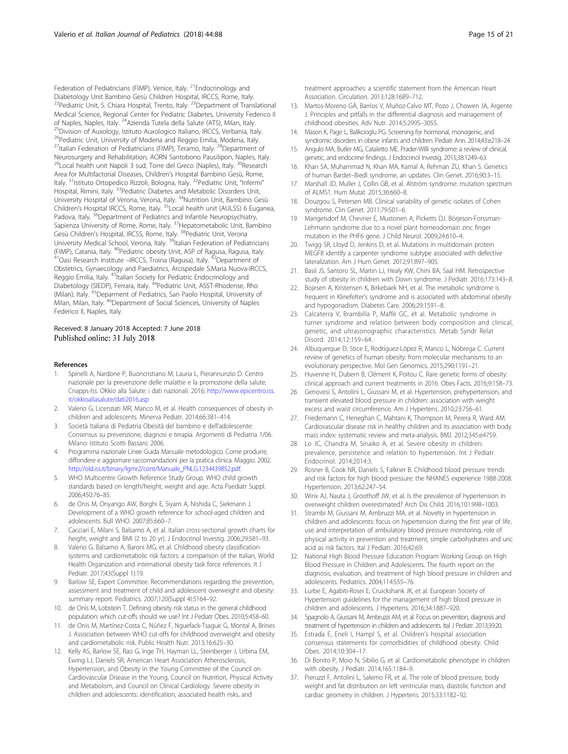<span id="page-14-0"></span>Federation of Pediatricians (FIMP), Venice, Italy. <sup>21</sup>Endocrinology and Diabetology Unit Bambino Gesù Children Hospital, IRCCS, Rome, Italy. <sup>22</sup>Pediatric Unit, S. Chiara Hospital, Trento, Italy.<sup>23</sup>Department of Translational Medical Science, Regional Center for Pediatric Diabetes, University Federico II of Naples, Naples, Italy. <sup>24</sup>Azienda Tutela della Salute (ATS), Milan, Italy.<br><sup>25</sup>Division of Auxology, Istituto Auxologico Italiano, IRCCS, Verbania, Italy. <sup>26</sup>Pediatric Unit, University of Modena and Reggio Emilia, Modena, Italy. <sup>27</sup>Italian Federation of Pediatricians (FIMP), Teramo, Italy. <sup>28</sup>Department of Neurosurgery and Rehabilitation, AORN Santobono Pausilipon, Naples, Italy. <sup>29</sup>Local health unit Napoli 3 sud, Torre del Greco (Naples), Italy. <sup>30</sup>Research Area for Multifactorial Diseases, Children's Hospital Bambino Gesù, Rome, Italy. <sup>31</sup> Istituto Ortopedico Rizzoli, Bologna, Italy. <sup>32</sup> Pediatric Unit, "Infermi" Hospital, Rimini, Italy. <sup>33</sup>Pediatric Diabetes and Metabolic Disorders Unit, University Hospital of Verona, Verona, Italy. 34Nutrition Unit, Bambino Gesù Children's Hospital IRCCS, Rome, Italy. 35Local health unit (AULSS) 6 Euganea, Padova, Italy. <sup>36</sup>Department of Pediatrics and Infantile Neuropsychiatry, Sapienza University of Rome, Rome, Italy. 37Hepatometabolic Unit, Bambino Gesù Children's Hospital, IRCSS, Rome, Italy. 38Pediatric Unit, Verona University Medical School, Verona, Italy. <sup>39</sup>Italian Federation of Pediatricians<br>(FIMP), Catania, Italy. <sup>40</sup>Pediatric obesity Unit, ASP of Ragusa, Ragusa, Italy. <sup>41</sup>Oasi Research Institute –IRCCS, Troina (Ragusa), Italy. <sup>42</sup>Department of Obstetrics, Gynaecology and Paediatrics, Arcispedale S.Maria Nuova-IRCCS, Reggio Emilia, Italy. <sup>43</sup>Italian Society for Pediatric Endocrinology and Diabetology (SIEDP), Ferrara, Italy. <sup>44</sup>Pediatric Unit, ASST-Rhodense, Rho (Milan), Italy. 45Deparment of Pediatrics, San Paolo Hospital, University of Milan, Milan, Italy. <sup>46</sup>Department of Social Sciences, University of Naples Federico II, Naples, Italy.

#### Received: 8 January 2018 Accepted: 7 June 2018 Published online: 31 July 2018

#### References

- 1. Spinelli A, Nardone P, Buoncristiano M, Lauria L, Pierannunzio D. Centro nazionale per la prevenzione delle malattie e la promozione della salute, Cnapps-Iss. OKkio alla Salute: i dati nazionali. 2016; [http://www.epicentro.iss.](http://www.epicentro.iss.it/okkioallasalute/dati2016.asp) [it/okkioallasalute/dati2016.asp](http://www.epicentro.iss.it/okkioallasalute/dati2016.asp)
- Valerio G, Licenziati MR, Manco M, et al. Health consequences of obesity in children and adolescents. Minerva Pediatr. 2014;66:381–414.
- 3. Società Italiana di Pediatria Obesità del bambino e dell'adolescente: Consensus su prevenzione, diagnosi e terapia. Argomenti di Pediatria 1/06. Milano: Istituto Scotti Bassani; 2006.
- 4. Programma nazionale Linee Guida Manuale metodologico. Come produrre, diffondere e aggiornare raccomandazioni per la pratica clinica. Maggio. 2002. [http://old.iss.it/binary/lgmr2/cont/Manuale\\_PNLG.1234439852.pdf](http://old.iss.it/binary/lgmr2/cont/Manuale_PNLG.1234439852.pdf).
- 5. WHO Multicentre Growth Reference Study Group. WHO child growth standards based on length/height, weight and age. Acta Paediatr Suppl. 2006;450:76–85.
- 6. de Onis M, Onyango AW, Borghi E, Siyam A, Nishida C, Siekmann J. Development of a WHO growth reference for school-aged children and adolescents. Bull WHO. 2007;85:660–7.
- 7. Cacciari E, Milani S, Balsamo A, et al. Italian cross-sectional growth charts for height, weight and BMI (2 to 20 yr). J Endocrinol Investig. 2006;29:581–93.
- Valerio G, Balsamo A, Baroni MG, et al. Childhood obesity classification systems and cardiometabolic risk factors: a comparison of the Italian, World Health Organization and international obesity task force references. It J Pediatr. 2017;43(Suppl 1):19.
- 9. Barlow SE, Expert Committee. Recommendations regarding the prevention, assessment and treatment of child and adolescent overweight and obesity: summary report. Pediatrics. 2007;120(Suppl 4):S164–92.
- 10. de Onis M, Lobstein T. Defining obesity risk status in the general childhood population: which cut-offs should we use? Int J Pediatr Obes. 2010;5:458–60.
- 11. de Onis M, Martínez-Costa C, Núñez F, Nguefack-Tsague G, Montal A, Brines J. Association between WHO cut-offs for childhood overweight and obesity and cardiometabolic risk. Public Health Nutr. 2013;16:625–30.
- 12. Kelly AS, Barlow SE, Rao G, Inge TH, Hayman LL, Steinberger J, Urbina EM, Ewing LJ, Daniels SR, American Heart Association Atherosclerosis, Hypertension, and Obesity in the Young Committee of the Council on Cardiovascular Disease in the Young, Council on Nutrition, Physical Activity and Metabolism, and Council on Clinical Cardiology. Severe obesity in children and adolescents: identification, associated health risks, and

treatment approaches: a scientific statement from the American Heart Association. Circulation. 2013;128:1689–712.

- 13. Martos-Moreno GÁ, Barrios V, Muñoz-Calvo MT, Pozo J, Chowen JA, Argente J. Principles and pitfalls in the differential diagnosis and management of childhood obesities. Adv Nutr. 2014;5:299S–305S.
- 14. Mason K, Page L, Balikcioglu PG. Screening for hormonal, monogenic, and syndromic disorders in obese infants and children. Pediatr Ann. 2014;43:e218–24.
- 15. Angulo MA, Butler MG, Cataletto ME. Prader-Willi syndrome: a review of clinical, genetic, and endocrine findings. J Endocrinol Investig. 2015;38:1249–63.
- 16. Khan SA, Muhammad N, Khan MA, Kamal A, Rehman ZU, Khan S. Genetics of human Bardet–Biedl syndrome, an updates. Clin Genet. 2016;90:3–15.
- 17. Marshall JD, Muller J, Collin GB, et al. Alström syndrome: mutation spectrum of ALMS1. Hum Mutat. 2015;36:660–8.
- 18. Douzgou S, Petersen MB. Clinical variability of genetic isolates of Cohen syndrome. Clin Genet. 2011;79:501–6.
- 19. Mangelsdorf M, Chevrier E, Mustonen A, Picketts DJ. Börjeson-Forssman-Lehmann syndrome due to a novel plant homeodomain zinc finger mutation in the PHF6 gene. J Child Neurol. 2009;24:610–4.
- 20. Twigg SR, Lloyd D, Jenkins D, et al. Mutations in multidomain protein MEGF8 identify a carpenter syndrome subtype associated with defective lateralization. Am J Hum Genet. 2012;91:897–905.
- 21. Basil JS, Santoro SL, Martin LJ, Healy KW, Chini BA, Saal HM. Retrospective study of obesity in children with Down syndrome. J Pediatr. 2016;173:143–8.
- 22. Bojesen A, Kristensen K, Birkebaek NH, et al. The metabolic syndrome is frequent in Klinefelter's syndrome and is associated with abdominal obesity and hypogonadism. Diabetes Care. 2006;29:1591–8.
- 23. Calcaterra V, Brambilla P, Maffè GC, et al. Metabolic syndrome in turner syndrome and relation between body composition and clinical, genetic, and ultrasonographic characteristics. Metab Syndr Relat Disord. 2014;12:159–64.
- 24. Albuquerque D, Stice E, Rodríguez-López R, Manco L, Nóbrega C. Current review of genetics of human obesity: from molecular mechanisms to an evolutionary perspective. Mol Gen Genomics. 2015;290:1191–21.
- 25. Huvenne H, Dubern B, Clément K, Poitou C. Rare genetic forms of obesity: clinical approach and current treatments in 2016. Obes Facts. 2016;9:158–73.
- 26. Genovesi S, Antolini L, Giussani M, et al. Hypertension, prehypertension, and transient elevated blood pressure in children: association with weight excess and waist circumference. Am J Hypertens. 2010;23:756–61.
- 27. Friedemann C, Heneghan C, Mahtani K, Thompson M, Perera R, Ward AM. Cardiovascular disease risk in healthy children and its association with body mass index: systematic review and meta-analysis. BMJ. 2012;345:e4759.
- 28. Lo JC, Chandra M, Sinaiko A, et al. Severe obesity in children: prevalence, persistence and relation to hypertension. Int J Pediatr Endocrinol. 2014;2014:3.
- 29. Rosner B, Cook NR, Daniels S, Falkner B. Childhood blood pressure trends and risk factors for high blood pressure: the NHANES experience 1988-2008. Hypertension. 2013;62:247–54.
- 30. Wirix AJ, Nauta J, Groothoff JW, et al. Is the prevalence of hypertension in overweight children overestimated? Arch Dis Child. 2016;101:998–1003.
- 31. Strambi M, Giussani M, Ambruzzi MA, et al. Novelty in hypertension in children and adolescents: focus on hypertension during the first year of life, use and interpretation of ambulatory blood pressure monitoring, role of physical activity in prevention and treatment, simple carbohydrates and uric acid as risk factors. Ital J Pediatr. 2016;42:69.
- 32. National High Blood Pressure Education Program Working Group on High Blood Pressure in Children and Adolescents. The fourth report on the diagnosis, evaluation, and treatment of high blood pressure in children and adolescents. Pediatrics. 2004;114:555–76.
- 33. Lurbe E, Agabiti-Rosei E, Cruickshank JK, et al. European Society of Hypertension guidelines for the management of high blood pressure in children and adolescents. J Hypertens. 2016;34:1887–920.
- 34. Spagnolo A, Giussani M, Ambruzzi AM, et al. Focus on prevention, diagnosis and treatment of hypertension in children and adolescents. Ital J Pediatr. 2013;39:20.
- 35. Estrada E, Eneli I, Hampl S, et al. Children's hospital association consensus statements for comorbidities of childhood obesity. Child Obes. 2014;10:304–17.
- 36. Di Bonito P, Moio N, Sibilio G, et al. Cardiometabolic phenotype in children with obesity. J Pediatr. 2014;165:1184–9.
- 37. Pieruzzi F, Antolini L, Salerno FR, et al. The role of blood pressure, body weight and fat distribution on left ventricular mass, diastolic function and cardiac geometry in children. J Hypertens. 2015;33:1182–92.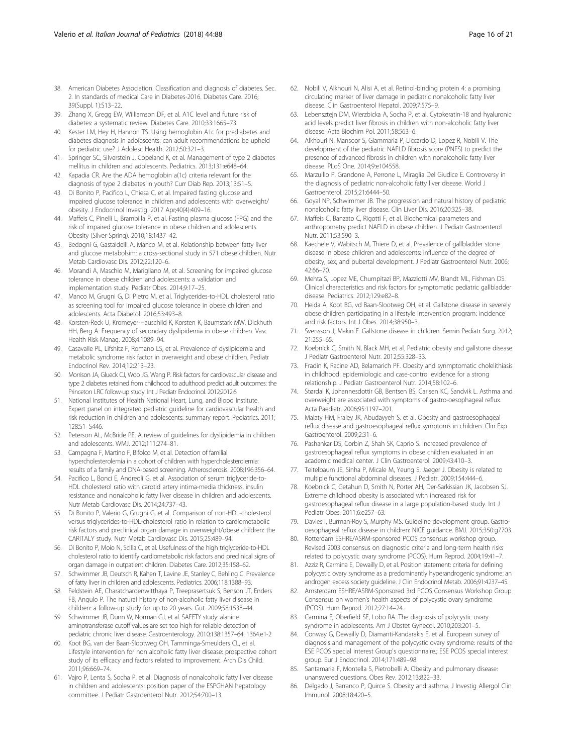- <span id="page-15-0"></span>38. American Diabetes Association. Classification and diagnosis of diabetes. Sec. 2. In standards of medical Care in Diabetes-2016. Diabetes Care. 2016; 39(Suppl. 1):S13–22.
- 39. Zhang X, Gregg EW, Williamson DF, et al. A1C level and future risk of diabetes: a systematic review. Diabetes Care. 2010;33:1665–73.
- 40. Kester LM, Hey H, Hannon TS. Using hemoglobin A1c for prediabetes and diabetes diagnosis in adolescents: can adult recommendations be upheld for pediatric use? J Adolesc Health. 2012;50:321–3.
- 41. Springer SC, Silverstein J, Copeland K, et al. Management of type 2 diabetes mellitus in children and adolescents. Pediatrics. 2013;131:e648–64.
- Kapadia CR. Are the ADA hemoglobin a(1c) criteria relevant for the diagnosis of type 2 diabetes in youth? Curr Diab Rep. 2013;13:51–5.
- 43. Di Bonito P, Pacifico L, Chiesa C, et al. Impaired fasting glucose and impaired glucose tolerance in children and adolescents with overweight/ obesity. J Endocrinol Investig. 2017 Apr;40(4):409–16.
- 44. Maffeis C, Pinelli L, Brambilla P, et al. Fasting plasma glucose (FPG) and the risk of impaired glucose tolerance in obese children and adolescents. Obesity (Silver Spring). 2010;18:1437–42.
- 45. Bedogni G, Gastaldelli A, Manco M, et al. Relationship between fatty liver and glucose metabolsim: a cross-sectional study in 571 obese children. Nutr Metab Cardiovasc Dis. 2012;22:120–6.
- 46. Morandi A, Maschio M, Marigliano M, et al. Screening for impaired glucose tolerance in obese children and adolescents: a validation and implementation study. Pediatr Obes. 2014;9:17–25.
- 47. Manco M, Grugni G, Di Pietro M, et al. Triglycerides-to-HDL cholesterol ratio as screening tool for impaired glucose tolerance in obese children and adolescents. Acta Diabetol. 2016;53:493–8.
- 48. Korsten-Reck U, Kromeyer-Hauschild K, Korsten K, Baumstark MW, Dickhuth HH, Berg A. Frequency of secondary dyslipidemia in obese children. Vasc Health Risk Manag. 2008;4:1089–94.
- 49. Casavalle PL, Lifshitz F, Romano LS, et al. Prevalence of dyslipidemia and metabolic syndrome risk factor in overweight and obese children. Pediatr Endocrinol Rev. 2014;12:213–23.
- 50. Morrison JA, Glueck CJ, Woo JG, Wang P. Risk factors for cardiovascular disease and type 2 diabetes retained from childhood to adulthood predict adult outcomes: the Princeton LRC follow-up study. Int J Pediatr Endocrinol. 2012;2012:6.
- 51. National Institutes of Health National Heart, Lung, and Blood Institute. Expert panel on integrated pediatric guideline for cardiovascular health and risk reduction in children and adolescents: summary report. Pediatrics. 2011; 128:S1–S446.
- 52. Peterson AL, McBride PE. A review of guidelines for dyslipidemia in children and adolescents. WMJ. 2012;111:274–81.
- 53. Campagna F, Martino F, Bifolco M, et al. Detection of familial hypercholesterolemia in a cohort of children with hypercholesterolemia: results of a family and DNA-based screening. Atherosclerosis. 2008;196:356–64.
- 54. Pacifico L, Bonci E, Andreoli G, et al. Association of serum triglyceride-to-HDL cholesterol ratio with carotid artery intima-media thickness, insulin resistance and nonalcoholic fatty liver disease in children and adolescents. Nutr Metab Cardiovasc Dis. 2014;24:737–43.
- 55. Di Bonito P, Valerio G, Grugni G, et al. Comparison of non-HDL-cholesterol versus triglycerides-to-HDL-cholesterol ratio in relation to cardiometabolic risk factors and preclinical organ damage in overweight/obese children: the CARITALY study. Nutr Metab Cardiovasc Dis. 2015;25:489–94.
- 56. Di Bonito P, Moio N, Scilla C, et al. Usefulness of the high triglyceride-to-HDL cholesterol ratio to identify cardiometabolic risk factors and preclinical signs of organ damage in outpatient children. Diabetes Care. 2012;35:158–62.
- 57. Schwimmer JB, Deutsch R, Kahen T, Lavine JE, Stanley C, Behling C. Prevalence of fatty liver in children and adolescents. Pediatrics. 2006;118:1388–93.
- 58. Feldstein AE, Charatcharoenwitthaya P, Treeprasertsuk S, Benson JT, Enders FB, Angulo P. The natural history of non-alcoholic fatty liver disease in children: a follow-up study for up to 20 years. Gut. 2009;58:1538–44.
- 59. Schwimmer JB, Dunn W, Norman GJ, et al. SAFETY study: alanine aminotransferase cutoff values are set too high for reliable detection of pediatric chronic liver disease. Gastroenterology. 2010;138:1357–64. 1364.e1-2
- 60. Koot BG, van der Baan-Slootweg OH, Tamminga-Smeulders CL, et al. Lifestyle intervention for non alcoholic fatty liver disease: prospective cohort study of its efficacy and factors related to improvement. Arch Dis Child. 2011;96:669–74.
- 61. Vajro P, Lenta S, Socha P, et al. Diagnosis of nonalcoholic fatty liver disease in children and adolescents: position paper of the ESPGHAN hepatology committee. J Pediatr Gastroenterol Nutr. 2012;54:700–13.
- 62. Nobili V, Alkhouri N, Alisi A, et al. Retinol-binding protein 4: a promising circulating marker of liver damage in pediatric nonalcoholic fatty liver disease. Clin Gastroenterol Hepatol. 2009;7:575–9.
- 63. Lebensztejn DM, Wierzbicka A, Socha P, et al. Cytokeratin-18 and hyaluronic acid levels predict liver fibrosis in children with non-alcoholic fatty liver disease. Acta Biochim Pol. 2011;58:563–6.
- 64. Alkhouri N, Mansoor S, Giammaria P, Liccardo D, Lopez R, Nobili V. The development of the pediatric NAFLD fibrosis score (PNFS) to predict the presence of advanced fibrosis in children with nonalcoholic fatty liver disease. PLoS One. 2014;9:e104558.
- 65. Marzuillo P, Grandone A, Perrone L, Miraglia Del Giudice E. Controversy in the diagnosis of pediatric non-alcoholic fatty liver disease. World J Gastroenterol. 2015;21:6444–50.
- 66. Goyal NP, Schwimmer JB. The progression and natural history of pediatric nonalcoholic fatty liver disease. Clin Liver Dis. 2016;20:325–38.
- Maffeis C, Banzato C, Rigotti F, et al. Biochemical parameters and anthropometry predict NAFLD in obese children. J Pediatr Gastroenterol Nutr. 2011;53:590–3.
- 68. Kaechele V, Wabitsch M, Thiere D, et al. Prevalence of gallbladder stone disease in obese children and adolescents: influence of the degree of obesity, sex, and pubertal development. J Pediatr Gastroenterol Nutr. 2006; 42:66–70.
- 69. Mehta S, Lopez ME, Chumpitazi BP, Mazziotti MV, Brandt ML, Fishman DS. Clinical characteristics and risk factors for symptomatic pediatric gallbladder disease. Pediatrics. 2012;129:e82–8.
- 70. Heida A, Koot BG, vd Baan-Slootweg OH, et al. Gallstone disease in severely obese children participating in a lifestyle intervention program: incidence and risk factors. Int J Obes. 2014;38:950–3.
- 71. Svensson J, Makin E. Gallstone disease in children. Semin Pediatr Surg. 2012; 21:255–65.
- 72. Koebnick C, Smith N, Black MH, et al. Pediatric obesity and gallstone disease. J Pediatr Gastroenterol Nutr. 2012;55:328–33.
- 73. Fradin K, Racine AD, Belamarich PF. Obesity and synmptomatic cholelithiasis in childhood: epidemiologic and case-control evidence for a strong relationship. J Pediatr Gastroenterol Nutr. 2014;58:102–6.
- 74. Størdal K, Johannesdottir GB, Bentsen BS, Carlsen KC, Sandvik L. Asthma and overweight are associated with symptoms of gastro-oesophageal reflux. Acta Paediatr. 2006;95:1197–201.
- 75. Malaty HM, Fraley JK, Abudayyeh S, et al. Obesity and gastroesophageal reflux disease and gastroesophageal reflux symptoms in children. Clin Exp Gastroenterol. 2009;2:31–6.
- 76. Pashankar DS, Corbin Z, Shah SK, Caprio S. Increased prevalence of gastroesophageal reflux symptoms in obese children evaluated in an academic medical center. J Clin Gastroenterol. 2009;43:410–3.
- 77. Teitelbaum JE, Sinha P, Micale M, Yeung S, Jaeger J. Obesity is related to multiple functional abdominal diseases. J Pediatr. 2009;154:444–6.
- 78. Koebnick C, Getahun D, Smith N, Porter AH, Der-Sarkissian JK, Jacobsen SJ. Extreme childhood obesity is associated with increased risk for gastroesophageal reflux disease in a large population-based study. Int J Pediatr Obes. 2011;6:e257–63.
- 79. Davies I, Burman-Roy S, Murphy MS. Guideline development group. Gastrooesophageal reflux disease in children: NICE guidance. BMJ. 2015;350:g7703.
- 80. Rotterdam ESHRE/ASRM-sponsored PCOS consensus workshop group. Revised 2003 consensus on diagnostic criteria and long-term health risks related to polycystic ovary syndrome (PCOS). Hum Reprod. 2004;19:41–7.
- 81. Azziz R, Carmina E, Dewailly D, et al. Position statement: criteria for defining polycystic ovary syndrome as a predominantly hyperandrogenic syndrome: an androgen excess society guideline. J Clin Endocrinol Metab. 2006;91:4237–45.
- 82. Amsterdam ESHRE/ASRM-Sponsored 3rd PCOS Consensus Workshop Group. Consensus on women's health aspects of polycystic ovary syndrome (PCOS). Hum Reprod. 2012;27:14–24.
- 83. Carmina E, Oberfield SE, Lobo RA. The diagnosis of polycystic ovary syndrome in adolescents. Am J Obstet Gynecol. 2010;203:201–5.
- 84. Conway G, Dewailly D, Diamanti-Kandarakis E, et al. European survey of diagnosis and management of the polycystic ovary syndrome: results of the ESE PCOS special interest Group's questionnaire.; ESE PCOS special interest group. Eur J Endocrinol. 2014;171:489–98.
- 85. Santamaria F, Montella S, Pietrobelli A. Obesity and pulmonary disease: unanswered questions. Obes Rev. 2012;13:822–33.
- 86. Delgado J, Barranco P, Quirce S. Obesity and asthma. J Investig Allergol Clin Immunol. 2008;18:420–5.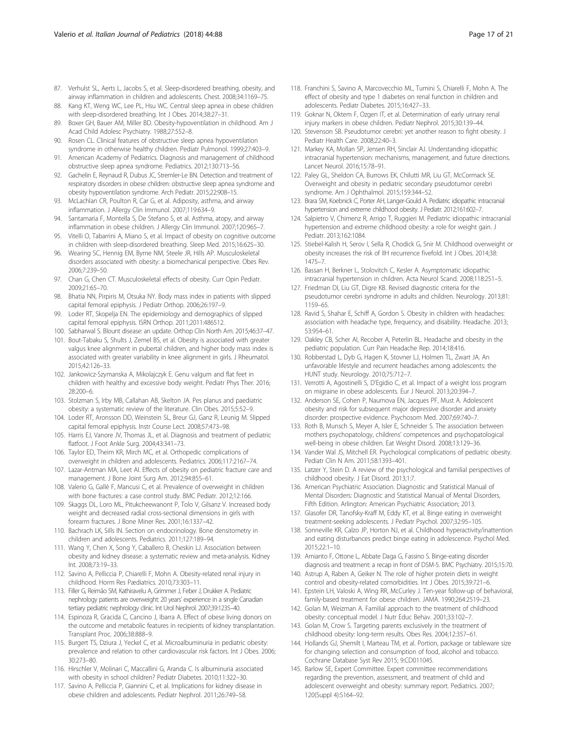- <span id="page-16-0"></span>87. Verhulst SL, Aerts L, Jacobs S, et al. Sleep-disordered breathing, obesity, and airway inflammation in children and adolescents. Chest. 2008;34:1169–75.
- 88. Kang KT, Weng WC, Lee PL, Hsu WC. Central sleep apnea in obese children with sleep-disordered breathing. Int J Obes. 2014;38:27–31.
- 89. Boxer GH, Bauer AM, Miller BD. Obesity-hypoventilation in childhood. Am J Acad Child Adolesc Psychiatry. 1988;27:552–8.
- 90. Rosen CL. Clinical features of obstructive sleep apnea hypoventilation syndrome in otherwise healthy children. Pediatr Pulmonol. 1999;27:403–9.
- 91. American Academy of Pediatrics. Diagnosis and management of childhood obstructive sleep apnea syndrome. Pediatrics. 2012;130:713–56.
- 92. Gachelin E, Reynaud R, Dubus JC, Stremler-Le BN. Detection and treatment of respiratory disorders in obese children: obstructive sleep apnea syndrome and obesity hypoventilation syndrome. Arch Pediatr. 2015;22:908–15.
- 93. McLachlan CR, Poulton R, Car G, et al. Adiposity, asthma, and airway inflammation. J Allergy Clin Immunol. 2007;119:634–9.
- 94. Santamaria F, Montella S, De Stefano S, et al. Asthma, atopy, and airway inflammation in obese children. J Allergy Clin Immunol. 2007;120:965–7.
- 95. Vitelli O, Tabarrini A, Miano S, et al. Impact of obesity on cognitive outcome in children with sleep-disordered breathing. Sleep Med. 2015;16:625–30.
- 96. Wearing SC, Hennig EM, Byrne NM, Steele JR, Hills AP. Musculoskeletal disorders associated with obesity: a biomechanical perspective. Obes Rev. 2006;7:239–50.
- 97. Chan G, Chen CT. Musculoskeletal effects of obesity. Curr Opin Pediatr. 2009;21:65–70.
- 98. Bhatia NN, Pirpiris M, Otsuka NY. Body mass index in patients with slipped capital femoral epiphysis. J Pediatr Orthop. 2006;26:197–9.
- 99. Loder RT, Skopelja EN. The epidemiology and demographics of slipped capital femoral epiphysis. ISRN Orthop. 2011;2011:486512.
- 100. Sabharwal S. Blount disease: an update. Orthop Clin North Am. 2015;46:37–47.
- 101. Bout-Tabaku S, Shults J, Zemel BS, et al. Obesity is associated with greater valgus knee alignment in pubertal children, and higher body mass index is associated with greater variability in knee alignment in girls. J Rheumatol. 2015;42:126–33.
- 102. Jankowicz-Szymanska A, Mikolajczyk E. Genu valgum and flat feet in children with healthy and excessive body weight. Pediatr Phys Ther. 2016; 28:200–6.
- 103. Stolzman S, Irby MB, Callahan AB, Skelton JA. Pes planus and paediatric obesity: a systematic review of the literature. Clin Obes. 2015;5:52–9.
- 104. Loder RT, Aronsson DD, Weinstein SL, Breur GJ, Ganz R, Leunig M. Slipped capital femoral epiphysis. Instr Course Lect. 2008;57:473–98.
- 105. Harris EJ, Vanore JV, Thomas JL, et al. Diagnosis and treatment of pediatric flatfoot. J Foot Ankle Surg. 2004;43:341–73.
- 106. Taylor ED, Theim KR, Mirch MC, et al. Orthopedic complications of overweight in children and adolescents. Pediatrics. 2006;117:2167–74.
- 107. Lazar-Antman MA, Leet AI. Effects of obesity on pediatric fracture care and management. J Bone Joint Surg Am. 2012;94:855–61.
- 108. Valerio G, Gallè F, Mancusi C, et al. Prevalence of overweight in children with bone fractures: a case control study. BMC Pediatr. 2012;12:166.
- 109. Skaggs DL, Loro ML, Pitukcheewanont P, Tolo V, Gilsanz V. Increased body weight and decreased radial cross-sectional dimensions in girls with forearm fractures. J Bone Miner Res. 2001;16:1337–42.
- 110. Bachrach LK, Sills IN. Section on endocrinology. Bone densitometry in children and adolescents. Pediatrics. 2011;127:189–94.
- 111. Wang Y, Chen X, Song Y, Caballero B, Cheskin LJ. Association between obesity and kidney disease: a systematic review and meta-analysis. Kidney Int. 2008;73:19–33.
- 112. Savino A, Pelliccia P, Chiarelli F, Mohn A. Obesity-related renal injury in childhood. Horm Res Pædiatrics. 2010;73:303–11.
- 113. Filler G, Reimão SM, Kathiravelu A, Grimmer J, Feber J, Drukker A. Pediatric nephrology patients are overweight: 20 years' experience in a single Canadian tertiary pediatric nephrology clinic. Int Urol Nephrol. 2007;39:1235–40.
- 114. Espinoza R, Gracida C, Cancino J, Ibarra A. Effect of obese living donors on the outcome and metabolic features in recipients of kidney transplantation. Transplant Proc. 2006;38:888–9.
- 115. Burgert TS, Dziura J, Yeckel C, et al. Microalbuminuria in pediatric obesity: prevalence and relation to other cardiovascular risk factors. Int J Obes. 2006; 30:273–80.
- 116. Hirschler V, Molinari C, Maccallini G, Aranda C. Is albuminuria associated with obesity in school children? Pediatr Diabetes. 2010;11:322–30.
- 117. Savino A, Pelliccia P, Giannini C, et al. Implications for kidney disease in obese children and adolescents. Pediatr Nephrol. 2011;26:749–58.
- 118. Franchini S, Savino A, Marcovecchio ML, Tumini S, Chiarelli F, Mohn A. The effect of obesity and type 1 diabetes on renal function in children and adolescents. Pediatr Diabetes. 2015;16:427–33.
- 119. Goknar N, Oktem F, Ozgen IT, et al. Determination of early urinary renal injury markers in obese children. Pediatr Nephrol. 2015;30:139–44.
- 120. Stevenson SB. Pseudotumor cerebri: yet another reason to fight obesity. J Pediatr Health Care. 2008;22:40–3.
- 121. Markey KA, Mollan SP, Jensen RH, Sinclair AJ. Understanding idiopathic intracranial hypertension: mechanisms, management, and future directions. Lancet Neurol. 2016;15:78–91.
- 122. Paley GL, Sheldon CA, Burrows EK, Chilutti MR, Liu GT, McCormack SE. Overweight and obesity in pediatric secondary pseudotumor cerebri syndrome. Am J Ophthalmol. 2015;159:344–52.
- 123. Brara SM, Koebnick C, Porter AH, Langer-Gould A. Pediatric idiopathic intracranial hypertension and extreme childhood obesity. J Pediatr. 2012;161:602–7.
- 124. Salpietro V, Chimenz R, Arrigo T, Ruggieri M. Pediatric idiopathic intracranial hypertension and extreme childhood obesity: a role for weight gain. J Pediatr. 2013;162:1084.
- 125. Stiebel-Kalish H, Serov I, Sella R, Chodick G, Snir M. Childhood overweight or obesity increases the risk of IIH recurrence fivefold. Int J Obes. 2014;38: 1475–7.
- 126. Bassan H, Berkner L, Stolovitch C, Kesler A. Asymptomatic idiopathic intracranial hypertension in children. Acta Neurol Scand. 2008;118:251–5.
- 127. Friedman DI, Liu GT, Digre KB. Revised diagnostic criteria for the pseudotumor cerebri syndrome in adults and children. Neurology. 2013;81: 1159–65.
- 128. Ravid S, Shahar E, Schiff A, Gordon S. Obesity in children with headaches: association with headache type, frequency, and disability. Headache. 2013; 53:954–61.
- 129. Oakley CB, Scher AI, Recober A, Peterlin BL. Headache and obesity in the pediatric population. Curr Pain Headache Rep. 2014;18:416.
- 130. Robberstad L, Dyb G, Hagen K, Stovner LJ, Holmen TL, Zwart JA. An unfavorable lifestyle and recurrent headaches among adolescents: the HUNT study. Neurology. 2010;75:712–7.
- 131. Verrotti A, Agostinelli S, D'Egidio C, et al. Impact of a weight loss program on migraine in obese adolescents. Eur J Neurol. 2013;20:394–7.
- 132. Anderson SE, Cohen P, Naumova EN, Jacques PF, Must A. Adolescent obesity and risk for subsequent major depressive disorder and anxiety disorder: prospective evidence. Psychosom Med. 2007;69:740–7.
- 133. Roth B, Munsch S, Meyer A, Isler E, Schneider S. The association between mothers psychopatology, childrens' competences and psychopatological well-being in obese children. Eat Weight Disord. 2008;13:129–36.
- 134. Vander Wal JS, Mitchell ER. Psychological complications of pediatric obesity. Pediatr Clin N Am. 2011;58:1393–401.
- 135. Latzer Y, Stein D. A review of the psychological and familial perspectives of childhood obesity. J Eat Disord. 2013;1:7.
- 136. American Psychiatric Association. Diagnostic and Statistical Manual of Mental Disorders: Diagnostic and Statistical Manual of Mental Disorders, Fifth Edition. Arlington: American Psychiatric Association; 2013.
- 137. Glasofer DR, Tanofsky-Kraff M, Eddy KT, et al. Binge eating in overweight treatment-seeking adolescents. J Pediatr Psychol. 2007;32:95–105.
- 138. Sonneville KR, Calzo JP, Horton NJ, et al. Childhood hyperactivity/inattention and eating disturbances predict binge eating in adolescence. Psychol Med. 2015;22:1–10.
- 139. Amianto F, Ottone L, Abbate Daga G, Fassino S. Binge-eating disorder diagnosis and treatment: a recap in front of DSM-5. BMC Psychiatry. 2015;15:70.
- 140. Astrup A, Raben A, Geiker N. The role of higher protein diets in weight control and obesity-related comorbidities. Int J Obes. 2015;39:721–6.
- 141. Epstein LH, Valoski A, Wing RR, McCurley J. Ten-year follow-up of behavioral, family-based treatment for obese children. JAMA. 1990;264:2519–23.
- 142. Golan M, Weizman A. Familial approach to the treatment of childhood obesity: conceptual model. J Nutr Educ Behav. 2001;33:102–7.
- 143. Golan M, Crow S. Targeting parents exclusively in the treatment of childhood obesity: long-term results. Obes Res. 2004;12:357–61.
- 144. Hollands GJ, Shemilt I, Marteau TM, et al. Portion, package or tableware size for changing selection and consumption of food, alcohol and tobacco. Cochrane Database Syst Rev 2015; 9:CD011045.
- 145. Barlow SE, Expert Committee. Expert committee recommendations regarding the prevention, assessment, and treatment of child and adolescent overweight and obesity: summary report. Pediatrics. 2007; 120(Suppl 4):S164–92.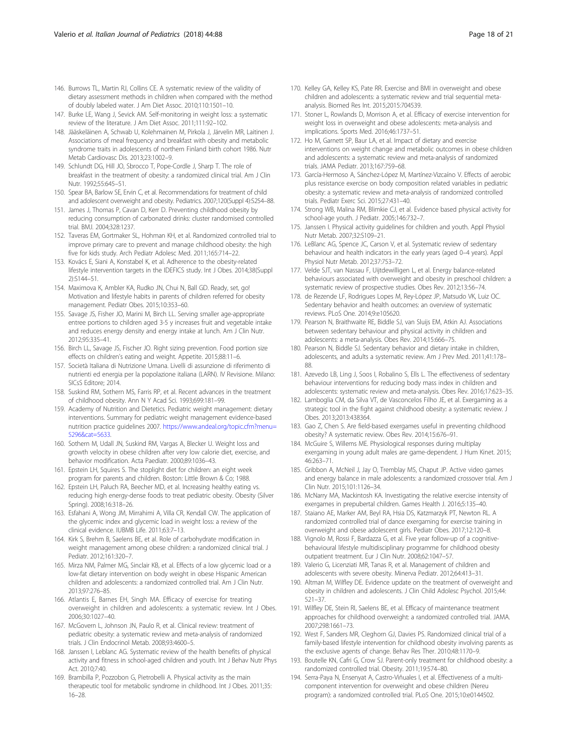- <span id="page-17-0"></span>146. Burrows TL, Martin RJ, Collins CE. A systematic review of the validity of dietary assessment methods in children when compared with the method of doubly labeled water. J Am Diet Assoc. 2010;110:1501–10.
- 147. Burke LE, Wang J, Sevick AM. Self-monitoring in weight loss: a systematic review of the literature. J Am Diet Assoc. 2011;111:92–102.
- 148. Jääskeläinen A, Schwab U, Kolehmainen M, Pirkola J, Järvelin MR, Laitinen J. Associations of meal frequency and breakfast with obesity and metabolic syndrome traits in adolescents of northern Finland birth cohort 1986. Nutr Metab Cardiovasc Dis. 2013;23:1002–9.
- 149. Schlundt DG, Hill JO, Sbrocco T, Pope-Cordle J, Sharp T. The role of breakfast in the treatment of obesity: a randomized clinical trial. Am J Clin Nutr. 1992;55:645–51.
- 150. Spear BA, Barlow SE, Ervin C, et al. Recommendations for treatment of child and adolescent overweight and obesity. Pediatrics. 2007;120(Suppl 4):S254–88.
- 151. James J, Thomas P, Cavan D, Kerr D. Preventing childhood obesity by reducing consumption of carbonated drinks: cluster randomised controlled trial. BMJ. 2004;328:1237.
- 152. Taveras EM, Gortmaker SL, Hohman KH, et al. Randomized controlled trial to improve primary care to prevent and manage childhood obesity: the high five for kids study. Arch Pediatr Adolesc Med. 2011;165:714–22.
- 153. Kovács E, Siani A, Konstabel K, et al. Adherence to the obesity-related lifestyle intervention targets in the IDEFICS study. Int J Obes. 2014;38(Suppl 2):S144–51.
- 154. Maximova K, Ambler KA, Rudko JN, Chui N, Ball GD. Ready, set, go! Motivation and lifestyle habits in parents of children referred for obesity management. Pediatr Obes. 2015;10:353–60.
- 155. Savage JS, Fisher JO, Marini M, Birch LL. Serving smaller age-appropriate entree portions to children aged 3-5 y increases fruit and vegetable intake and reduces energy density and energy intake at lunch. Am J Clin Nutr. 2012;95:335–41.
- 156. Birch LL, Savage JS, Fischer JO. Right sizing prevention. Food portion size effects on children's eating and weight. Appetite. 2015;88:11–6.
- 157. Società Italiana di Nutrizione Umana. Livelli di assunzione di riferimento di nutrienti ed energia per la popolazione italiana (LARN). IV Revisione. Milano: SICsS Editore; 2014.
- 158. Suskind RM, Sothern MS, Farris RP, et al. Recent advances in the treatment of childhood obesity. Ann N Y Acad Sci. 1993;699:181–99.
- 159. Academy of Nutrition and Dietetics. Pediatric weight management: dietary interventions. Summary for pediatric weight management evidence-based nutrition practice guidelines 2007. [https://www.andeal.org/topic.cfm?menu=](https://www.andeal.org/topic.cfm?menu=5296&cat=5633) [5296&cat=5633.](https://www.andeal.org/topic.cfm?menu=5296&cat=5633)
- 160. Sothern M, Udall JN, Suskind RM, Vargas A, Blecker U. Weight loss and growth velocity in obese children after very low calorie diet, exercise, and behavior modification. Acta Paediatr. 2000;89:1036–43.
- 161. Epstein LH, Squires S. The stoplight diet for children: an eight week program for parents and children. Boston: Little Brown & Co; 1988.
- 162. Epstein LH, Paluch RA, Beecher MD, et al. Increasing healthy eating vs. reducing high energy-dense foods to treat pediatric obesity. Obesity (Silver Spring). 2008;16:318–26.
- 163. Esfahani A, Wong JM, Mirrahimi A, Villa CR, Kendall CW. The application of the glycemic index and glycemic load in weight loss: a review of the clinical evidence. IUBMB Life. 2011;63:7–13.
- 164. Kirk S, Brehm B, Saelens BE, et al. Role of carbohydrate modification in weight management among obese children: a randomized clinical trial. J Pediatr. 2012;161:320–7.
- 165. Mirza NM, Palmer MG, Sinclair KB, et al. Effects of a low glycemic load or a low-fat dietary intervention on body weight in obese Hispanic American children and adolescents: a randomized controlled trial. Am J Clin Nutr. 2013;97:276–85.
- 166. Atlantis E, Barnes EH, Singh MA. Efficacy of exercise for treating overweight in children and adolescents: a systematic review. Int J Obes. 2006;30:1027–40.
- 167. McGovern L, Johnson JN, Paulo R, et al. Clinical review: treatment of pediatric obesity: a systematic review and meta-analysis of randomized trials. J Clin Endocrinol Metab. 2008;93:4600–5.
- 168. Janssen I, Leblanc AG. Systematic review of the health benefits of physical activity and fitness in school-aged children and youth. Int J Behav Nutr Phys Act. 2010;7:40.
- 169. Brambilla P, Pozzobon G, Pietrobelli A. Physical activity as the main therapeutic tool for metabolic syndrome in childhood. Int J Obes. 2011;35: 16–28.
- 170. Kelley GA, Kelley KS, Pate RR. Exercise and BMI in overweight and obese children and adolescents: a systematic review and trial sequential metaanalysis. Biomed Res Int. 2015;2015:704539.
- 171. Stoner L, Rowlands D, Morrison A, et al. Efficacy of exercise intervention for weight loss in overweight and obese adolescents: meta-analysis and implications. Sports Med. 2016;46:1737–51.
- 172. Ho M, Garnett SP, Baur LA, et al. Impact of dietary and exercise interventions on weight change and metabolic outcomes in obese children and adolescents: a systematic review and meta-analysis of randomized trials. JAMA Pediatr. 2013;167:759–68.
- 173. García-Hermoso A, Sánchez-López M, Martínez-Vizcaíno V. Effects of aerobic plus resistance exercise on body composition related variables in pediatric obesity: a systematic review and meta-analysis of randomized controlled trials. Pediatr Exerc Sci. 2015;27:431–40.
- 174. Strong WB, Malina RM, Blimkie CJ, et al. Evidence based physical activity for school-age youth. J Pediatr. 2005;146:732–7.
- 175. Janssen I. Physical activity guidelines for children and youth. Appl Physiol Nutr Metab. 2007;32:S109–21.
- 176. LeBlanc AG, Spence JC, Carson V, et al. Systematic review of sedentary behaviour and health indicators in the early years (aged 0–4 years). Appl Physiol Nutr Metab. 2012;37:753–72.
- 177. Velde SJT, van Nassau F, Uijtdewilligen L, et al. Energy balance-related behaviours associated with overweight and obesity in preschool children: a systematic review of prospective studies. Obes Rev. 2012;13:56–74.
- 178. de Rezende LF, Rodrigues Lopes M, Rey-López JP, Matsudo VK, Luiz OC. Sedentary behavior and health outcomes: an overview of systematic reviews. PLoS One. 2014;9:e105620.
- 179. Pearson N, Braithwaite RE, Biddle SJ, van Sluijs EM, Atkin AJ. Associations between sedentary behaviour and physical activity in children and adolescents: a meta-analysis. Obes Rev. 2014;15:666–75.
- 180. Pearson N, Biddle SJ. Sedentary behavior and dietary intake in children, adolescents, and adults a systematic review. Am J Prev Med. 2011;41:178– 88.
- 181. Azevedo LB, Ling J, Soos I, Robalino S, Ells L. The effectiveness of sedentary behaviour interventions for reducing body mass index in children and adolescents: systematic review and meta-analysis. Obes Rev. 2016;17:623–35.
- 182. Lamboglia CM, da Silva VT, de Vasconcelos Filho JE, et al. Exergaming as a strategic tool in the fight against childhood obesity: a systematic review. J Obes. 2013;2013:438364.
- 183. Gao Z, Chen S. Are field-based exergames useful in preventing childhood obesity? A systematic review. Obes Rev. 2014;15:676–91.
- 184. McGuire S, Willems ME. Physiological responses during multiplay exergaming in young adult males are game-dependent. J Hum Kinet. 2015; 46:263–71.
- 185. Gribbon A, McNeil J, Jay O, Tremblay MS, Chaput JP. Active video games and energy balance in male adolescents: a randomized crossover trial. Am J Clin Nutr. 2015;101:1126–34.
- 186. McNarry MA, Mackintosh KA. Investigating the relative exercise intensity of exergames in prepubertal children. Games Health J. 2016;5:135–40.
- 187. Staiano AE, Marker AM, Beyl RA, Hsia DS, Katzmarzyk PT, Newton RL. A randomized controlled trial of dance exergaming for exercise training in overweight and obese adolescent girls. Pediatr Obes. 2017;12:120–8.
- 188. Vignolo M, Rossi F, Bardazza G, et al. Five year follow-up of a cognitivebehavioural lifestyle multidisciplinary programme for childhood obesity outpatient treatment. Eur J Clin Nutr. 2008;62:1047–57.
- 189. Valerio G, Licenziati MR, Tanas R, et al. Management of children and adolescents with severe obesity. Minerva Pediatr. 2012;64:413–31.
- 190. Altman M, Wilfley DE. Evidence update on the treatment of overweight and obesity in children and adolescents. J Clin Child Adolesc Psychol. 2015;44: 521–37.
- 191. Wilfley DE, Stein RI, Saelens BE, et al. Efficacy of maintenance treatment approaches for childhood overweight: a randomized controlled trial. JAMA. 2007;298:1661–73.
- 192. West F, Sanders MR, Cleghorn GJ, Davies PS. Randomized clinical trial of a family-based lifestyle intervention for childhood obesity involving parents as the exclusive agents of change. Behav Res Ther. 2010;48:1170–9.
- 193. Boutelle KN, Cafri G, Crow SJ. Parent-only treatment for childhood obesity: a randomized controlled trial. Obesity. 2011;19:574–80.
- 194. Serra-Paya N, Ensenyat A, Castro-Viñuales I, et al. Effectiveness of a multicomponent intervention for overweight and obese children (Nereu program): a randomized controlled trial. PLoS One. 2015;10:e0144502.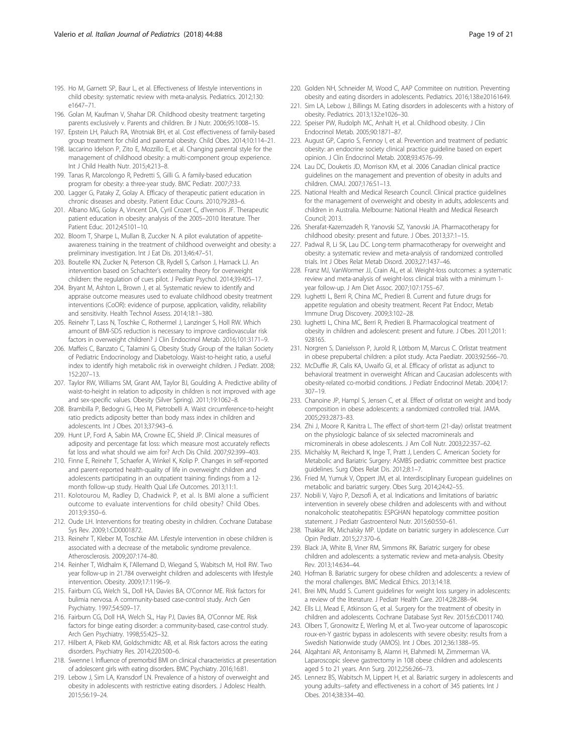- <span id="page-18-0"></span>195. Ho M, Garnett SP, Baur L, et al. Effectiveness of lifestyle interventions in child obesity: systematic review with meta-analysis. Pediatrics. 2012;130: e1647–71.
- 196. Golan M, Kaufman V, Shahar DR. Childhood obesity treatment: targeting parents exclusively v. Parents and children. Br J Nutr. 2006;95:1008–15.
- 197. Epstein LH, Paluch RA, Wrotniak BH, et al. Cost effectiveness of family-based group treatment for child and parental obesity. Child Obes. 2014;10:114–21.
- 198. Iaccarino Idelson P, Zito E, Mozzillo E, et al. Changing parental style for the management of childhood obesity: a multi-component group experience. Int J Child Health Nutr. 2015;4:213–8.
- 199. Tanas R, Marcolongo R, Pedretti S, Gilli G. A family-based education program for obesity: a three-year study. BMC Pediatr. 2007;7:33.
- 200. Lagger G, Pataky Z, Golay A. Efficacy of therapeutic patient education in chronic diseases and obesity. Patient Educ Couns. 2010;79:283–6.
- 201. Albano MG, Golay A, Vincent DA, Cyril Crozet C, d'Ivernois JF. Therapeutic patient education in obesity: analysis of the 2005–2010 literature. Ther Patient Educ. 2012;4:S101–10.
- 202. Bloom T, Sharpe L, Mullan B, Zuccker N. A pilot evalutation of appetiteawareness training in the treatment of childhood overweight and obesity: a preliminary investigation. Int J Eat Dis. 2013;46:47–51.
- 203. Boutelle KN, Zucker N, Peterson CB, Rydell S, Carlson J, Harnack LJ. An intervention based on Schachter's externality theory for overweight children: the regulation of cues pilot. J Pediatr Psychol. 2014;39:405–17.
- 204. Bryant M, Ashton L, Brown J, et al. Systematic review to identify and appraise outcome measures used to evaluate childhood obesity treatment interventions (CoOR): evidence of purpose, application, validity, reliability and sensitivity. Health Technol Assess. 2014;18:1–380.
- 205. Reinehr T, Lass N, Toschke C, Rothermel J, Lanzinger S, Holl RW. Which amount of BMI-SDS reduction is necessary to improve cardiovascular risk factors in overweight children? J Clin Endocrinol Metab. 2016;101:3171–9.
- 206. Maffeis C, Banzato C, Talamini G, Obesity Study Group of the Italian Society of Pediatric Endocrinology and Diabetology. Waist-to-height ratio, a useful index to identify high metabolic risk in overweight children. J Pediatr. 2008; 152:207–13.
- 207. Taylor RW, Williams SM, Grant AM, Taylor BJ, Goulding A. Predictive ability of waist-to-height in relation to adiposity in children is not improved with age and sex-specific values. Obesity (Silver Spring). 2011;19:1062–8.
- 208. Brambilla P, Bedogni G, Heo M, Pietrobelli A. Waist circumference-to-height ratio predicts adiposity better than body mass index in children and adolescents. Int J Obes. 2013;37:943–6.
- 209. Hunt LP, Ford A, Sabin MA, Crowne EC, Shield JP. Clinical measures of adiposity and percentage fat loss: which measure most accurately reflects fat loss and what should we aim for? Arch Dis Child. 2007;92:399–403.
- 210. Finne E, Reinehr T, Schaefer A, Winkel K, Kolip P. Changes in self-reported and parent-reported health-quality of life in overweight children and adolescents participating in an outpatient training: findings from a 12 month follow-up study. Health Qual Life Outcomes. 2013;11:1.
- 211. Kolotourou M, Radley D, Chadwick P, et al. Is BMI alone a sufficient outcome to evaluate interventions for child obesity? Child Obes. 2013;9:350–6.
- 212. Oude LH. Interventions for treating obesity in children. Cochrane Database Sys Rev. 2009;1:CD0001872.
- 213. Reinehr T, Kleber M, Toschke AM. Lifestyle intervention in obese children is associated with a decrease of the metabolic syndrome prevalence. Atherosclerosis. 2009;207:174–80.
- 214. Reinher T, Widhalm K, l'Allemand D, Wiegand S, Wabitsch M, Holl RW. Two year follow-up in 21.784 overweight children and adolescents with lifestyle intervention. Obesity. 2009;17:1196–9.
- 215. Fairburn CG, Welch SL, Doll HA, Davies BA, O'Connor ME. Risk factors for bulimia nervosa. A community-based case-control study. Arch Gen Psychiatry. 1997;54:509–17.
- 216. Fairburn CG, Doll HA, Welch SL, Hay PJ, Davies BA, O'Connor ME. Risk factors for binge eating disorder: a community-based, case-control study. Arch Gen Psychiatry. 1998;55:425–32.
- 217. Hilbert A, Pikeb KM, Goldschmidtc AB, et al. Risk factors across the eating disorders. Psychiatry Res. 2014;220:500–6.
- 218. Swenne I. Influence of premorbid BMI on clinical characteristics at presentation of adolescent girls with eating disorders. BMC Psychiatry. 2016;16:81.
- 219. Lebow J, Sim LA, Kransdorf LN. Prevalence of a history of overweight and obesity in adolescents with restrictive eating disorders. J Adolesc Health. 2015;56:19–24.
- 220. Golden NH, Schneider M, Wood C, AAP Commitee on nutrition. Preventing obesity and eating disorders in adolescents. Pediatrics. 2016;138:e20161649.
- 221. Sim LA, Lebow J, Billings M. Eating disorders in adolescents with a history of obesity. Pediatrics. 2013;132:e1026–30.
- 222. Speiser PW, Rudolph MC, Anhalt H, et al. Childhood obesity. J Clin Endocrinol Metab. 2005;90:1871–87.
- 223. August GP, Caprio S, Fennoy I, et al. Prevention and treatment of pediatric obesity: an endocrine society clinical practice guideline based on expert opinion. J Clin Endocrinol Metab. 2008;93:4576–99.
- 224. Lau DC, Douketis JD, Morrison KM, et al. 2006 Canadian clinical practice guidelines on the management and prevention of obesity in adults and children. CMAJ. 2007;176:S1–13.
- 225. National Health and Medical Research Council. Clinical practice guidelines for the management of overweight and obesity in adults, adolescents and children in Australia. Melbourne: National Health and Medical Research Council; 2013.
- 226. Sherafat-Kazemzadeh R, Yanovski SZ, Yanovski JA. Pharmacotherapy for childhood obesity: present and future. J Obes. 2013;37:1–15.
- 227. Padwal R, Li SK, Lau DC. Long-term pharmacotherapy for overweight and obesity: a systematic review and meta-analysis of randomized controlled trials. Int J Obes Relat Metab Disord. 2003;27:1437–46.
- 228. Franz MJ, VanWormer JJ, Crain AL, et al. Weight-loss outcomes: a systematic review and meta-analysis of weight-loss clinical trials with a minimum 1 year follow-up. J Am Diet Assoc. 2007;107:1755–67.
- 229. Iughetti L, Berri R, China MC, Predieri B. Current and future drugs for appetite regulation and obesity treatment. Recent Pat Endocr, Metab Immune Drug Discovery. 2009;3:102–28.
- 230. Iughetti L, China MC, Berri R, Predieri B. Pharmacological treatment of obesity in children and adolescent: present and future. J Obes. 2011;2011: 928165.
- 231. Norgren S, Danielsson P, Jurold R, Lötborn M, Marcus C. Orlistat treatment in obese prepubertal children: a pilot study. Acta Paediatr. 2003;92:566–70.
- 232. McDuffie JR, Calis KA, Uwaifo GI, et al. Efficacy of orlistat as adjunct to behavioral treatment in overweight African and Caucasian adolescents with obesity-related co-morbid conditions. J Pediatr Endocrinol Metab. 2004;17: 307–19.
- 233. Chanoine JP, Hampl S, Jensen C, et al. Effect of orlistat on weight and body composition in obese adolescents: a randomized controlled trial. JAMA. 2005;293:2873–83.
- 234. Zhi J, Moore R, Kanitra L. The effect of short-term (21-day) orlistat treatment on the physiologic balance of six selected macrominerals and microminerals in obese adolescents. J Am Coll Nutr. 2003;22:357–62.
- 235. Michalsky M, Reichard K, Inge T, Pratt J, Lenders C. American Society for Metabolic and Bariatric Surgery: ASMBS pediatric committee best practice guidelines. Surg Obes Relat Dis. 2012;8:1–7.
- 236. Fried M, Yumuk V, Oppert JM, et al. Interdisciplinary European guidelines on metabolic and bariatric surgery. Obes Surg. 2014;24:42–55.
- 237. Nobili V, Vajro P, Dezsofi A, et al. Indications and limitations of bariatric intervention in severely obese children and adolescents with and without nonalcoholic steatohepatitis: ESPGHAN hepatology committee position statement. J Pediatr Gastroenterol Nutr. 2015;60:550–61.
- 238. Thakkar RK, Michalsky MP. Update on bariatric surgery in adolescence. Curr Opin Pediatr. 2015;27:370–6.
- 239. Black JA, White B, Viner RM, Simmons RK. Bariatric surgery for obese children and adolescents: a systematic review and meta-analysis. Obesity Rev. 2013;14:634–44.
- 240. Hofman B. Bariatric surgery for obese children and adolescents: a review of the moral challenges. BMC Medical Ethics. 2013;14:18.
- 241. Brei MN, Mudd S. Current guidelines for weight loss surgery in adolescents: a review of the literature. J Pediatr Health Care. 2014;28:288–94.
- 242. Ells LJ, Mead E, Atkinson G, et al. Surgery for the treatment of obesity in children and adolescents. Cochrane Database Syst Rev. 2015;6:CD011740.
- 243. Olbers T, Gronowitz E, Werling M, et al. Two-year outcome of laparoscopic roux-en-Y gastric bypass in adolescents with severe obesity: results from a Swedish Nationwide study (AMOS). Int J Obes. 2012;36:1388–95.
- 244. Alqahtani AR, Antonisamy B, Alamri H, Elahmedi M, Zimmerman VA. Laparoscopic sleeve gastrectomy in 108 obese children and adolescents aged 5 to 21 years. Ann Surg. 2012;256:266–73.
- 245. Lennerz BS, Wabitsch M, Lippert H, et al. Bariatric surgery in adolescents and young adults--safety and effectiveness in a cohort of 345 patients. Int J Obes. 2014;38:334–40.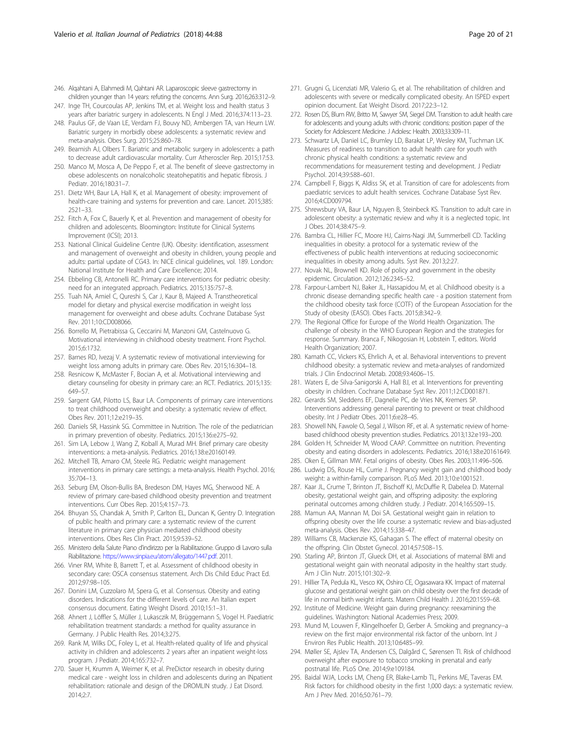- <span id="page-19-0"></span>246. Alqahtani A, Elahmedi M, Qahtani AR. Laparoscopic sleeve gastrectomy in children younger than 14 years: refuting the concerns. Ann Surg. 2016;263:312–9.
- 247. Inge TH, Courcoulas AP, Jenkins TM, et al. Weight loss and health status 3 years after bariatric surgery in adolescents. N Engl J Med. 2016;374:113–23.
- 248. Paulus GF, de Vaan LE, Verdam FJ, Bouvy ND, Ambergen TA, van Heurn LW. Bariatric surgery in morbidly obese adolescents: a systematic review and meta-analysis. Obes Surg. 2015;25:860–78.
- 249. Beamish AJ, Olbers T. Bariatric and metabolic surgery in adolescents: a path to decrease adult cardiovascular mortality. Curr Atheroscler Rep. 2015;17:53.
- 250. Manco M, Mosca A, De Peppo F, et al. The benefit of sleeve gastrectomy in obese adolescents on nonalcoholic steatohepatitis and hepatic fibrosis. J Pediatr. 2016;180:31–7.
- 251. Dietz WH, Baur LA, Hall K, et al. Management of obesity: improvement of health-care training and systems for prevention and care. Lancet. 2015;385: 2521–33.
- 252. Fitch A, Fox C, Bauerly K, et al. Prevention and management of obesity for children and adolescents. Bloomington: Institute for Clinical Systems Improvement (ICSI); 2013.
- 253. National Clinical Guideline Centre (UK). Obesity: identification, assessment and management of overweight and obesity in children, young people and adults: partial update of CG43. In: NICE clinical guidelines, vol. 189. London: National Institute for Health and Care Excellence; 2014.
- 254. Ebbeling CB, Antonelli RC. Primary care interventions for pediatric obesity: need for an integrated approach. Pediatrics. 2015;135:757–8.
- 255. Tuah NA, Amiel C, Qureshi S, Car J, Kaur B, Majeed A. Transtheoretical model for dietary and physical exercise modification in weight loss management for overweight and obese adults. Cochrane Database Syst Rev. 2011;10:CD008066.
- 256. Borrello M, Pietrabissa G, Ceccarini M, Manzoni GM, Castelnuovo G. Motivational interviewing in childhood obesity treatment. Front Psychol. 2015;6:1732.
- 257. Barnes RD, Ivezaj V. A systematic review of motivational interviewing for weight loss among adults in primary care. Obes Rev. 2015;16:304–18.
- 258. Resnicow K, McMaster F, Bocian A, et al. Motivational interviewing and dietary counseling for obesity in primary care: an RCT. Pediatrics. 2015;135: 649–57.
- 259. Sargent GM, Pilotto LS, Baur LA. Components of primary care interventions to treat childhood overweight and obesity: a systematic review of effect. Obes Rev. 2011;12:e219–35.
- 260. Daniels SR, Hassink SG. Committee in Nutrition. The role of the pediatrician in primary prevention of obesity. Pediatrics. 2015;136:e275–92.
- 261. Sim LA, Lebow J, Wang Z, Koball A, Murad MH. Brief primary care obesity interventions: a meta-analysis. Pediatrics. 2016;138:e20160149.
- 262. Mitchell TB, Amaro CM, Steele RG. Pediatric weight management interventions in primary care settings: a meta-analysis. Health Psychol. 2016; 35:704–13.
- 263. Seburg EM, Olson-Bullis BA, Bredeson DM, Hayes MG, Sherwood NE. A review of primary care-based childhood obesity prevention and treatment interventions. Curr Obes Rep. 2015;4:157–73.
- 264. Bhuyan SS, Chandak A, Smith P, Carlton EL, Duncan K, Gentry D. Integration of public health and primary care: a systematic review of the current literature in primary care physician mediated childhood obesity interventions. Obes Res Clin Pract. 2015;9:539–52.
- 265. Ministero della Salute Piano d'indirizzo per la Riabilitazione. Gruppo di Lavoro sulla Riabilitazione. <https://www.sinpia.eu/atom/allegato/1447.pdf>. 2011.
- 266. Viner RM, White B, Barrett T, et al. Assessment of childhood obesity in secondary care: OSCA consensus statement. Arch Dis Child Educ Pract Ed. 2012;97:98–105.
- 267. Donini LM, Cuzzolaro M, Spera G, et al. Consensus. Obesity and eating disorders. Indications for the different levels of care. An Italian expert consensus document. Eating Weight Disord. 2010;15:1–31.
- 268. Ahnert J, Löffler S, Müller J, Lukasczik M, Brüggemann S, Vogel H. Paediatric rehabilitation treatment standards: a method for quality assurance in Germany. J Public Health Res. 2014;3:275.
- 269. Rank M, Wilks DC, Foley L, et al. Health-related quality of life and physical activity in children and adolescents 2 years after an inpatient weight-loss program. J Pediatr. 2014;165:732–7.
- 270. Sauer H, Krumm A, Weimer K, et al. PreDictor research in obesity during medical care - weight loss in children and adolescents during an INpatient rehabilitation: rationale and design of the DROMLIN study. J Eat Disord. 2014;2:7.
- 271. Grugni G, Licenziati MR, Valerio G, et al. The rehabilitation of children and adolescents with severe or medically complicated obesity. An ISPED expert opinion document. Eat Weight Disord. 2017;22:3–12.
- 272. Rosen DS, Blum RW, Britto M, Sawyer SM, Siegel DM. Transition to adult health care for adolescents and young adults with chronic conditions: position paper of the Society for Adolescent Medicine. J Adolesc Health. 2003;33:309–11.
- 273. Schwartz LA, Daniel LC, Brumley LD, Barakat LP, Wesley KM, Tuchman LK. Measures of readiness to transition to adult health care for youth with chronic physical health conditions: a systematic review and recommendations for measurement testing and development. J Pediatr Psychol. 2014;39:588–601.
- 274. Campbell F, Biggs K, Aldiss SK, et al. Transition of care for adolescents from paediatric services to adult health services. Cochrane Database Syst Rev. 2016;4:CD009794.
- 275. Shrewsbury VA, Baur LA, Nguyen B, Steinbeck KS. Transition to adult care in adolescent obesity: a systematic review and why it is a neglected topic. Int J Obes. 2014;38:475–9.
- 276. Bambra CL, Hillier FC, Moore HJ, Cairns-Nagi JM, Summerbell CD. Tackling inequalities in obesity: a protocol for a systematic review of the effectiveness of public health interventions at reducing socioeconomic inequalities in obesity among adults. Syst Rev. 2013;2:27.
- 277. Novak NL, Brownell KD. Role of policy and government in the obesity epidemic. Circulation. 2012;126:2345–52.
- 278. Farpour-Lambert NJ, Baker JL, Hassapidou M, et al. Childhood obesity is a chronic disease demanding specific health care - a position statement from the childhood obesity task force (COTF) of the European Association for the Study of obesity (EASO). Obes Facts. 2015;8:342–9.
- 279. The Regional Office for Europe of the World Health Organization. The challenge of obesity in the WHO European Region and the strategies for response. Summary. Branca F, Nikogosian H, Lobstein T, editors. World Health Organization; 2007.
- 280. Kamath CC, Vickers KS, Ehrlich A, et al. Behavioral interventions to prevent childhood obesity: a systematic review and meta-analyses of randomized trials. J Clin Endocrinol Metab. 2008;93:4606–15.
- 281. Waters E, de Silva-Sanigorski A, Hall BJ, et al. Interventions for preventing obesity in children. Cochrane Database Syst Rev. 2011;12:CD001871.
- 282. Gerards SM, Sleddens EF, Dagnelie PC, de Vries NK, Kremers SP. Interventions addressing general parenting to prevent or treat childhood obesity. Int J Pediatr Obes. 2011;6:e28–45.
- 283. Showell NN, Fawole O, Segal J, Wilson RF, et al. A systematic review of homebased childhood obesity prevention studies. Pediatrics. 2013;132:e193–200.
- 284. Golden H, Schneider M, Wood CAAP. Committee on nutrition. Preventing obesity and eating disorders in adolescents. Pediatrics. 2016;138:e20161649.
- 285. Oken E, Gillman MW. Fetal origins of obesity. Obes Res. 2003;11:496–506.
- 286. Ludwig DS, Rouse HL, Currie J. Pregnancy weight gain and childhood body weight: a within-family comparison. PLoS Med. 2013;10:e1001521.
- 287. Kaar JL, Crume T, Brinton JT, Bischoff KJ, McDuffie R, Dabelea D. Maternal obesity, gestational weight gain, and offspring adiposity: the exploring perinatal outcomes among children study. J Pediatr. 2014;165:509–15.
- 288. Mamun AA, Mannan M, Doi SA. Gestational weight gain in relation to offspring obesity over the life course: a systematic review and bias-adjusted meta-analysis. Obes Rev. 2014;15:338–47.
- 289. Williams CB, Mackenzie KS, Gahagan S. The effect of maternal obesity on the offspring. Clin Obstet Gynecol. 2014;57:508–15.
- 290. Starling AP, Brinton JT, Glueck DH, et al. Associations of maternal BMI and gestational weight gain with neonatal adiposity in the healthy start study. Am J Clin Nutr. 2015;101:302–9.
- 291. Hillier TA, Pedula KL, Vesco KK, Oshiro CE, Ogasawara KK. Impact of maternal glucose and gestational weight gain on child obesity over the first decade of life in normal birth weight infants. Matern Child Health J. 2016;20:1559–68.
- 292. Institute of Medicine. Weight gain during pregnancy: reexamining the guidelines. Washington: National Academies Press; 2009.
- 293. Mund M, Louwen F, Klingelhoefer D, Gerber A. Smoking and pregnancy--a review on the first major environmental risk factor of the unborn. Int J Environ Res Public Health. 2013;10:6485–99.
- 294. Møller SE, Ajslev TA, Andersen CS, Dalgård C, Sørensen TI. Risk of childhood overweight after exposure to tobacco smoking in prenatal and early postnatal life. PLoS One. 2014;9:e109184.
- 295. Baidal WJA, Locks LM, Cheng ER, Blake-Lamb TL, Perkins ME, Taveras EM. Risk factors for childhood obesity in the first 1,000 days: a systematic review. Am J Prev Med. 2016;50:761–79.